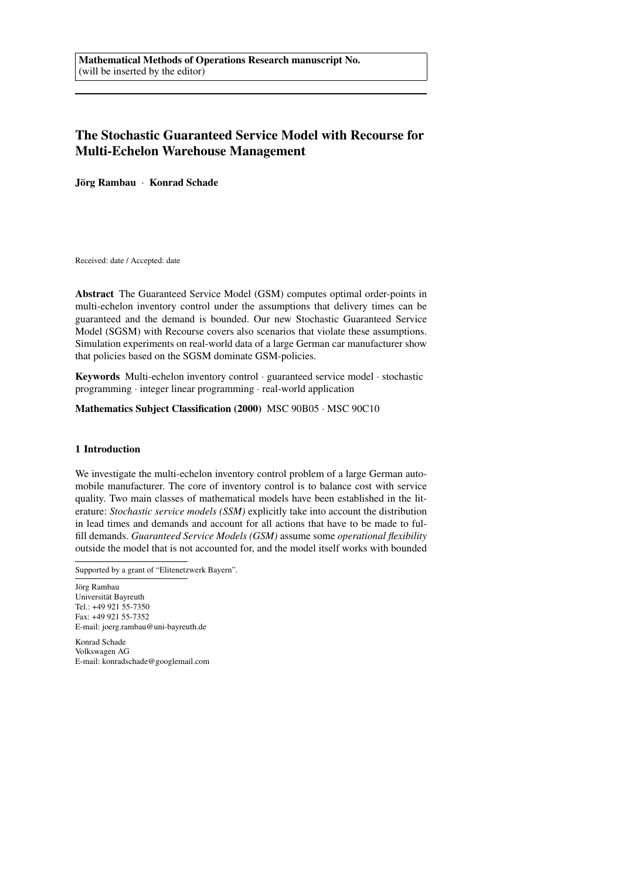# The Stochastic Guaranteed Service Model with Recourse for Multi-Echelon Warehouse Management

Jörg Rambau · Konrad Schade

Received: date / Accepted: date

Abstract The Guaranteed Service Model (GSM) computes optimal order-points in multi-echelon inventory control under the assumptions that delivery times can be guaranteed and the demand is bounded. Our new Stochastic Guaranteed Service Model (SGSM) with Recourse covers also scenarios that violate these assumptions. Simulation experiments on real-world data of a large German car manufacturer show that policies based on the SGSM dominate GSM-policies.

Keywords Multi-echelon inventory control · guaranteed service model · stochastic programming · integer linear programming · real-world application

Mathematics Subject Classification (2000) MSC 90B05 · MSC 90C10

## 1 Introduction

We investigate the multi-echelon inventory control problem of a large German automobile manufacturer. The core of inventory control is to balance cost with service quality. Two main classes of mathematical models have been established in the literature: *Stochastic service models (SSM)* explicitly take into account the distribution in lead times and demands and account for all actions that have to be made to fulfill demands. *Guaranteed Service Models (GSM)* assume some *operational flexibility* outside the model that is not accounted for, and the model itself works with bounded

Jörg Rambau Universität Bayreuth Tel.: +49 921 55-7350 Fax: +49 921 55-7352 E-mail: joerg.rambau@uni-bayreuth.de

Konrad Schade Volkswagen AG E-mail: konradschade@googlemail.com

Supported by a grant of "Elitenetzwerk Bayern".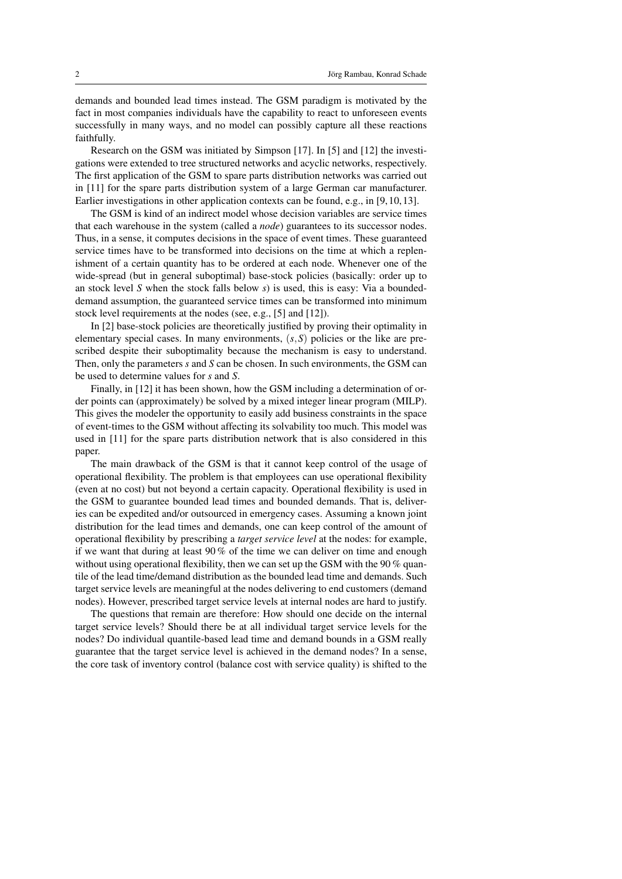demands and bounded lead times instead. The GSM paradigm is motivated by the fact in most companies individuals have the capability to react to unforeseen events successfully in many ways, and no model can possibly capture all these reactions faithfully.

Research on the GSM was initiated by Simpson [17]. In [5] and [12] the investigations were extended to tree structured networks and acyclic networks, respectively. The first application of the GSM to spare parts distribution networks was carried out in [11] for the spare parts distribution system of a large German car manufacturer. Earlier investigations in other application contexts can be found, e.g., in [9, 10, 13].

The GSM is kind of an indirect model whose decision variables are service times that each warehouse in the system (called a *node*) guarantees to its successor nodes. Thus, in a sense, it computes decisions in the space of event times. These guaranteed service times have to be transformed into decisions on the time at which a replenishment of a certain quantity has to be ordered at each node. Whenever one of the wide-spread (but in general suboptimal) base-stock policies (basically: order up to an stock level *S* when the stock falls below *s*) is used, this is easy: Via a boundeddemand assumption, the guaranteed service times can be transformed into minimum stock level requirements at the nodes (see, e.g., [5] and [12]).

In [2] base-stock policies are theoretically justified by proving their optimality in elementary special cases. In many environments, (*s*,*S*) policies or the like are prescribed despite their suboptimality because the mechanism is easy to understand. Then, only the parameters *s* and *S* can be chosen. In such environments, the GSM can be used to determine values for *s* and *S*.

Finally, in [12] it has been shown, how the GSM including a determination of order points can (approximately) be solved by a mixed integer linear program (MILP). This gives the modeler the opportunity to easily add business constraints in the space of event-times to the GSM without affecting its solvability too much. This model was used in [11] for the spare parts distribution network that is also considered in this paper.

The main drawback of the GSM is that it cannot keep control of the usage of operational flexibility. The problem is that employees can use operational flexibility (even at no cost) but not beyond a certain capacity. Operational flexibility is used in the GSM to guarantee bounded lead times and bounded demands. That is, deliveries can be expedited and/or outsourced in emergency cases. Assuming a known joint distribution for the lead times and demands, one can keep control of the amount of operational flexibility by prescribing a *target service level* at the nodes: for example, if we want that during at least 90 % of the time we can deliver on time and enough without using operational flexibility, then we can set up the GSM with the 90 % quantile of the lead time/demand distribution as the bounded lead time and demands. Such target service levels are meaningful at the nodes delivering to end customers (demand nodes). However, prescribed target service levels at internal nodes are hard to justify.

The questions that remain are therefore: How should one decide on the internal target service levels? Should there be at all individual target service levels for the nodes? Do individual quantile-based lead time and demand bounds in a GSM really guarantee that the target service level is achieved in the demand nodes? In a sense, the core task of inventory control (balance cost with service quality) is shifted to the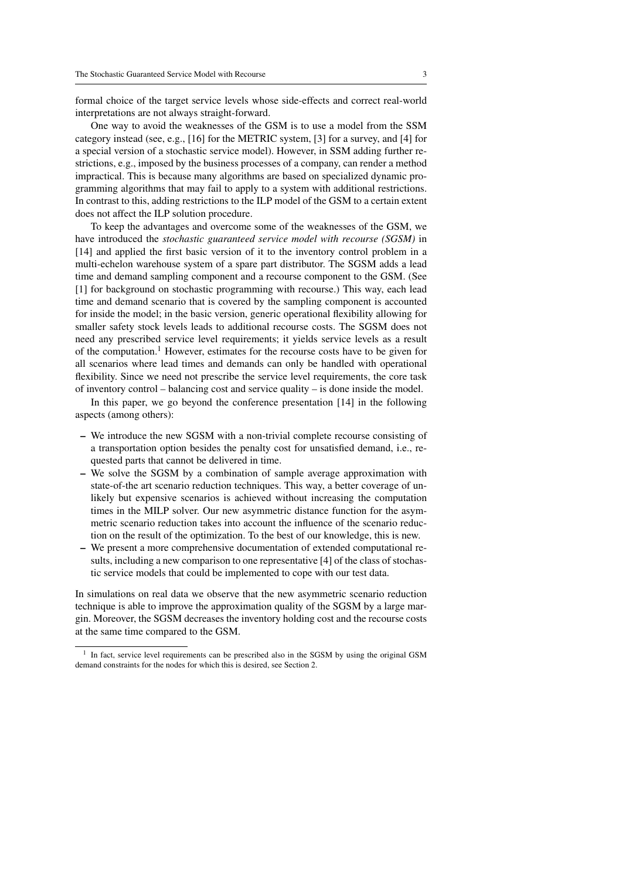formal choice of the target service levels whose side-effects and correct real-world interpretations are not always straight-forward.

One way to avoid the weaknesses of the GSM is to use a model from the SSM category instead (see, e.g., [16] for the METRIC system, [3] for a survey, and [4] for a special version of a stochastic service model). However, in SSM adding further restrictions, e.g., imposed by the business processes of a company, can render a method impractical. This is because many algorithms are based on specialized dynamic programming algorithms that may fail to apply to a system with additional restrictions. In contrast to this, adding restrictions to the ILP model of the GSM to a certain extent does not affect the ILP solution procedure.

To keep the advantages and overcome some of the weaknesses of the GSM, we have introduced the *stochastic guaranteed service model with recourse (SGSM)* in [14] and applied the first basic version of it to the inventory control problem in a multi-echelon warehouse system of a spare part distributor. The SGSM adds a lead time and demand sampling component and a recourse component to the GSM. (See [1] for background on stochastic programming with recourse.) This way, each lead time and demand scenario that is covered by the sampling component is accounted for inside the model; in the basic version, generic operational flexibility allowing for smaller safety stock levels leads to additional recourse costs. The SGSM does not need any prescribed service level requirements; it yields service levels as a result of the computation.<sup>1</sup> However, estimates for the recourse costs have to be given for all scenarios where lead times and demands can only be handled with operational flexibility. Since we need not prescribe the service level requirements, the core task of inventory control – balancing cost and service quality – is done inside the model.

In this paper, we go beyond the conference presentation [14] in the following aspects (among others):

- We introduce the new SGSM with a non-trivial complete recourse consisting of a transportation option besides the penalty cost for unsatisfied demand, i.e., requested parts that cannot be delivered in time.
- We solve the SGSM by a combination of sample average approximation with state-of-the art scenario reduction techniques. This way, a better coverage of unlikely but expensive scenarios is achieved without increasing the computation times in the MILP solver. Our new asymmetric distance function for the asymmetric scenario reduction takes into account the influence of the scenario reduction on the result of the optimization. To the best of our knowledge, this is new.
- We present a more comprehensive documentation of extended computational results, including a new comparison to one representative [4] of the class of stochastic service models that could be implemented to cope with our test data.

In simulations on real data we observe that the new asymmetric scenario reduction technique is able to improve the approximation quality of the SGSM by a large margin. Moreover, the SGSM decreases the inventory holding cost and the recourse costs at the same time compared to the GSM.

<sup>&</sup>lt;sup>1</sup> In fact, service level requirements can be prescribed also in the SGSM by using the original GSM demand constraints for the nodes for which this is desired, see Section 2.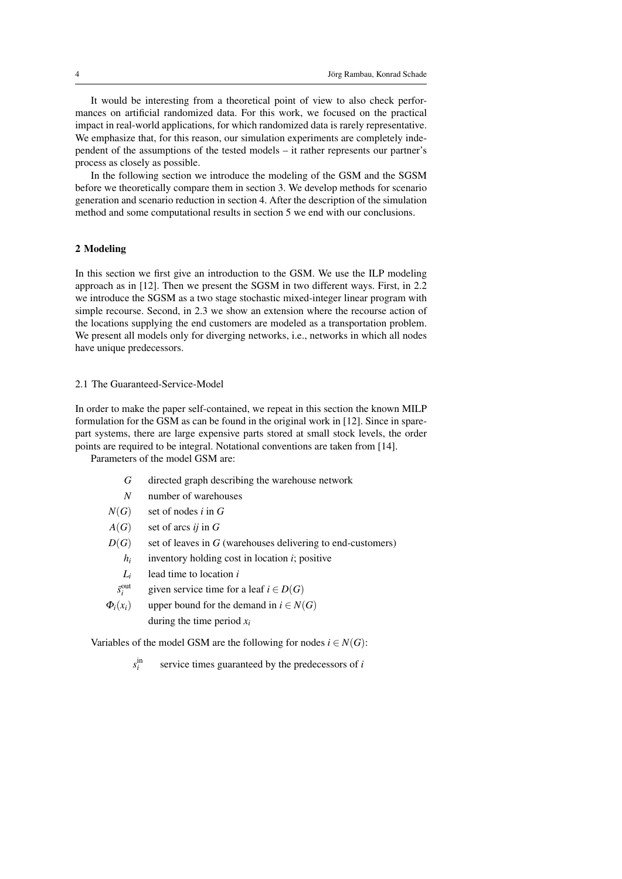It would be interesting from a theoretical point of view to also check performances on artificial randomized data. For this work, we focused on the practical impact in real-world applications, for which randomized data is rarely representative. We emphasize that, for this reason, our simulation experiments are completely independent of the assumptions of the tested models – it rather represents our partner's process as closely as possible.

In the following section we introduce the modeling of the GSM and the SGSM before we theoretically compare them in section 3. We develop methods for scenario generation and scenario reduction in section 4. After the description of the simulation method and some computational results in section 5 we end with our conclusions.

## 2 Modeling

In this section we first give an introduction to the GSM. We use the ILP modeling approach as in [12]. Then we present the SGSM in two different ways. First, in 2.2 we introduce the SGSM as a two stage stochastic mixed-integer linear program with simple recourse. Second, in 2.3 we show an extension where the recourse action of the locations supplying the end customers are modeled as a transportation problem. We present all models only for diverging networks, i.e., networks in which all nodes have unique predecessors.

## 2.1 The Guaranteed-Service-Model

In order to make the paper self-contained, we repeat in this section the known MILP formulation for the GSM as can be found in the original work in [12]. Since in sparepart systems, there are large expensive parts stored at small stock levels, the order points are required to be integral. Notational conventions are taken from [14].

Parameters of the model GSM are:

- *G* directed graph describing the warehouse network
- *N* number of warehouses
- $N(G)$  set of nodes *i* in *G*
- *A*(*G*) set of arcs *ij* in *G*
- $D(G)$  set of leaves in *G* (warehouses delivering to end-customers)
	- *hi* inventory holding cost in location *i*; positive
	- *Li* lead time to location *i*
	- $\bar{s}_i^{\text{out}}$ given service time for a leaf  $i \in D(G)$
- $\Phi_i(x_i)$  upper bound for the demand in  $i \in N(G)$ during the time period *x<sup>i</sup>*

Variables of the model GSM are the following for nodes  $i \in N(G)$ :

*s* in *i* service times guaranteed by the predecessors of *i*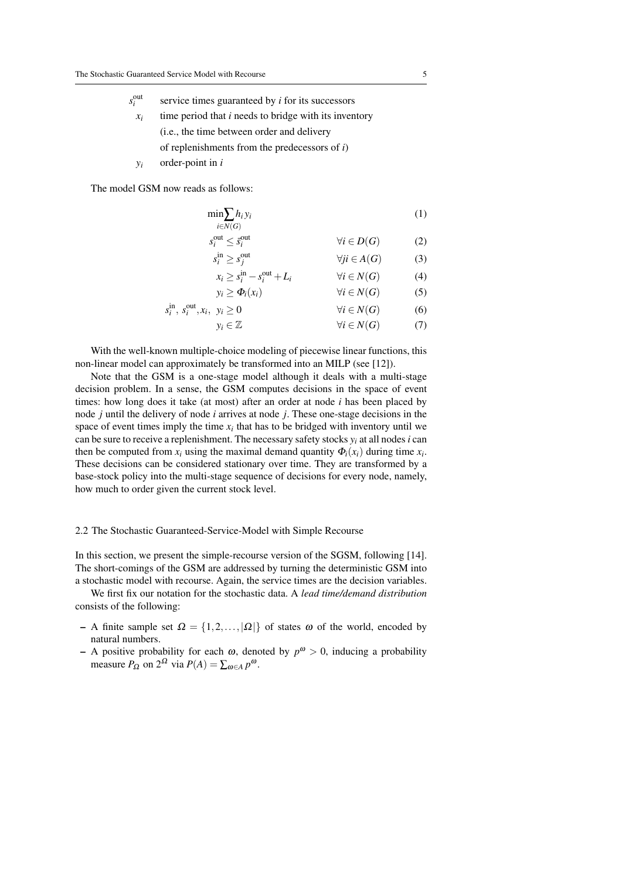out

| $s_i^{\text{out}}$ | service times guaranteed by <i>i</i> for its successors      |
|--------------------|--------------------------------------------------------------|
| $x_i$              | time period that <i>i</i> needs to bridge with its inventory |
|                    | ( <i>i.e.</i> , the time between order and delivery          |
|                    | of replenishments from the predecessors of $i$ )             |

*y<sup>i</sup>* order-point in *i*

The model GSM now reads as follows:

$$
\min_{i \in N(G)} h_i y_i \tag{1}
$$

$$
s_i^{\text{out}} \le \bar{s}_i^{\text{out}} \qquad \qquad \forall i \in D(G) \qquad (2)
$$

$$
s_i^{\text{in}} \ge s_j^{\text{out}} \qquad \qquad \forall ji \in A(G) \tag{3}
$$

$$
x_i \ge s_i^{\text{in}} - s_i^{\text{out}} + L_i \qquad \forall i \in N(G) \tag{4}
$$

$$
y_i \ge \Phi_i(x_i) \qquad \forall i \in N(G) \qquad (5)
$$

$$
s_i^{\text{in}}, s_i^{\text{out}}, x_i, y_i \ge 0 \qquad \forall i \in N(G) \qquad (6)
$$

$$
y_i \in \mathbb{Z} \qquad \qquad \forall i \in N(G) \tag{7}
$$

With the well-known multiple-choice modeling of piecewise linear functions, this non-linear model can approximately be transformed into an MILP (see [12]).

Note that the GSM is a one-stage model although it deals with a multi-stage decision problem. In a sense, the GSM computes decisions in the space of event times: how long does it take (at most) after an order at node *i* has been placed by node *j* until the delivery of node *i* arrives at node *j*. These one-stage decisions in the space of event times imply the time  $x_i$  that has to be bridged with inventory until we can be sure to receive a replenishment. The necessary safety stocks  $y_i$  at all nodes *i* can then be computed from  $x_i$  using the maximal demand quantity  $\Phi_i(x_i)$  during time  $x_i$ . These decisions can be considered stationary over time. They are transformed by a base-stock policy into the multi-stage sequence of decisions for every node, namely, how much to order given the current stock level.

# 2.2 The Stochastic Guaranteed-Service-Model with Simple Recourse

In this section, we present the simple-recourse version of the SGSM, following [14]. The short-comings of the GSM are addressed by turning the deterministic GSM into a stochastic model with recourse. Again, the service times are the decision variables.

We first fix our notation for the stochastic data. A *lead time/demand distribution* consists of the following:

- A finite sample set  $\Omega = \{1, 2, ..., |\Omega|\}$  of states  $\omega$  of the world, encoded by natural numbers.
- A positive probability for each  $\omega$ , denoted by  $p^{\omega} > 0$ , inducing a probability measure  $P_{\Omega}$  on  $2^{\Omega}$  via  $P(A) = \sum_{\omega \in A} p^{\omega}$ .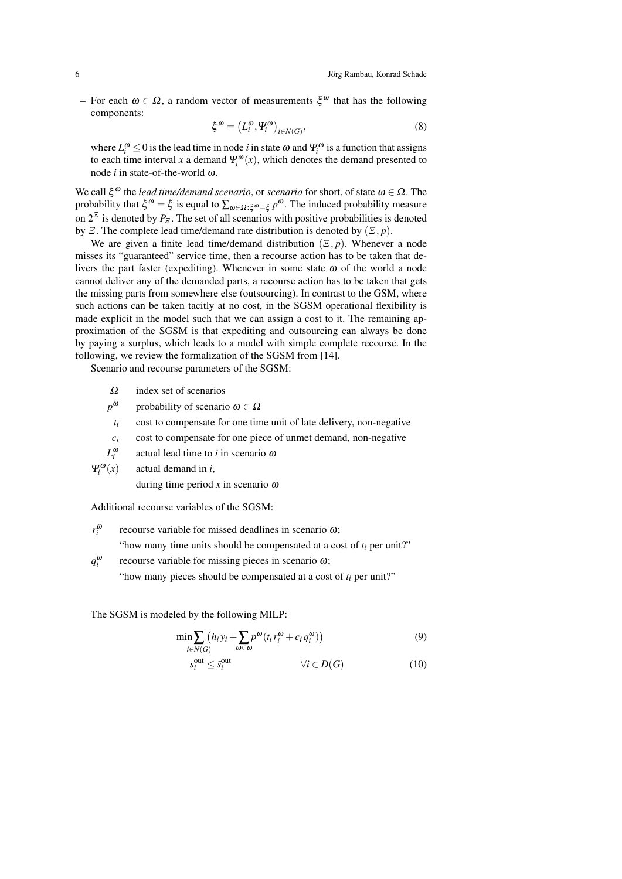– For each  $ω ∈ Ω$ , a random vector of measurements  $ξ<sup>ω</sup>$  that has the following components:

$$
\xi^{\omega} = (L_i^{\omega}, \Psi_i^{\omega})_{i \in N(G)}, \tag{8}
$$

where  $L_i^{\omega} \le 0$  is the lead time in node *i* in state  $\omega$  and  $\Psi_i^{\omega}$  is a function that assigns to each time interval *x* a demand  $\Psi_i^{\omega}(x)$ , which denotes the demand presented to node *i* in state-of-the-world ω.

We call  $\xi^{\omega}$  the *lead time/demand scenario*, or *scenario* for short, of state  $\omega \in \Omega$ . The probability that  $\xi^{\omega} = \xi$  is equal to  $\sum_{\omega \in \Omega : \xi^{\omega} = \xi} p^{\omega}$ . The induced probability measure on  $2^{\mathbb{Z}}$  is denoted by  $P_{\mathbb{Z}}$ . The set of all scenarios with positive probabilities is denoted by  $\Xi$ . The complete lead time/demand rate distribution is denoted by  $(\Xi, p)$ .

We are given a finite lead time/demand distribution  $(\mathcal{E}, p)$ . Whenever a node misses its "guaranteed" service time, then a recourse action has to be taken that delivers the part faster (expediting). Whenever in some state  $\omega$  of the world a node cannot deliver any of the demanded parts, a recourse action has to be taken that gets the missing parts from somewhere else (outsourcing). In contrast to the GSM, where such actions can be taken tacitly at no cost, in the SGSM operational flexibility is made explicit in the model such that we can assign a cost to it. The remaining approximation of the SGSM is that expediting and outsourcing can always be done by paying a surplus, which leads to a model with simple complete recourse. In the following, we review the formalization of the SGSM from [14].

Scenario and recourse parameters of the SGSM:

- $\Omega$  index set of scenarios
- *p* ω probability of scenario  $\omega \in \Omega$
- $t_i$  cost to compensate for one time unit of late delivery, non-negative
- $c_i$  cost to compensate for one piece of unmet demand, non-negative
- *L* ω *i* actual lead time to *i* in scenario ω
- Ψ ω *i* (*x*) actual demand in *i*,

during time period  $x$  in scenario  $\omega$ 

Additional recourse variables of the SGSM:

- *r* ω *i* recourse variable for missed deadlines in scenario ω; "how many time units should be compensated at a cost of  $t_i$  per unit?"
- *q* ω *i* recourse variable for missing pieces in scenario  $\omega$ ;

"how many pieces should be compensated at a cost of  $t_i$  per unit?"

The SGSM is modeled by the following MILP:

$$
\min \sum_{i \in N(G)} (h_i y_i + \sum_{\omega \in \omega} p^{\omega} (t_i r_i^{\omega} + c_i q_i^{\omega})) \tag{9}
$$

$$
s_i^{\text{out}} \le \bar{s}_i^{\text{out}} \qquad \qquad \forall i \in D(G) \tag{10}
$$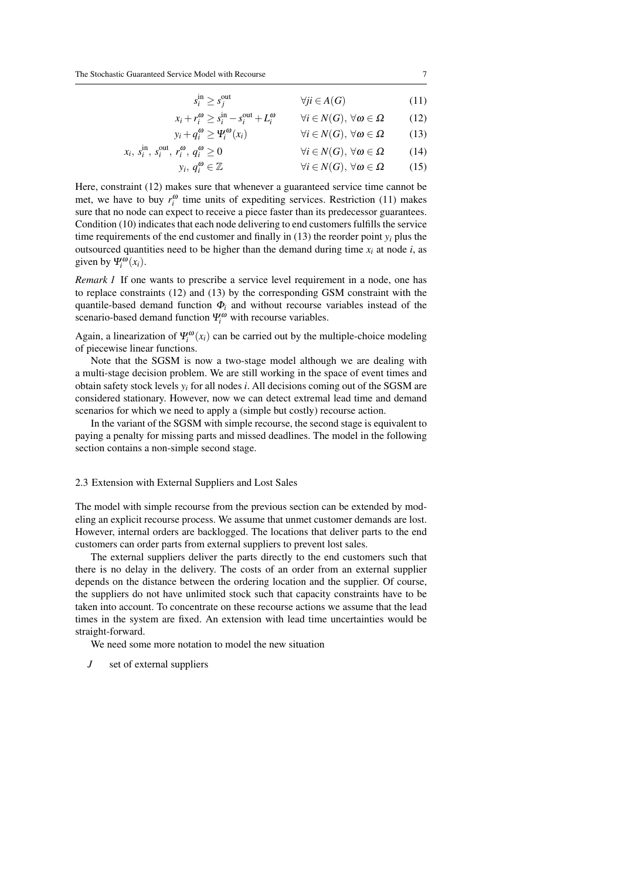$$
s_i^{\text{in}} \ge s_j^{\text{out}} \qquad \qquad \forall j i \in A(G) \tag{11}
$$

$$
x_i + r_i^{\omega} \ge s_i^{\text{in}} - s_i^{\text{out}} + L_i^{\omega} \qquad \forall i \in N(G), \forall \omega \in \Omega \qquad (12)
$$

$$
y_i + q_i^{\omega} \ge \Psi_i^{\omega}(x_i) \qquad \forall i \in N(G), \forall \omega \in \Omega \qquad (13)
$$

$$
x_i, s_i^{\text{in}}, s_i^{\text{out}}, r_i^{\omega}, q_i^{\omega} \ge 0 \qquad \forall i \in N(G), \forall \omega \in \Omega \qquad (14)
$$

$$
y_i, q_i^{\omega} \in \mathbb{Z} \qquad \qquad \forall i \in N(G), \forall \omega \in \Omega \qquad (15)
$$

Here, constraint (12) makes sure that whenever a guaranteed service time cannot be met, we have to buy  $r_i^{\omega}$  time units of expediting services. Restriction (11) makes sure that no node can expect to receive a piece faster than its predecessor guarantees. Condition (10) indicates that each node delivering to end customers fulfills the service time requirements of the end customer and finally in  $(13)$  the reorder point  $y_i$  plus the outsourced quantities need to be higher than the demand during time  $x_i$  at node *i*, as given by  $\Psi_i^{\omega}(x_i)$ .

*Remark 1* If one wants to prescribe a service level requirement in a node, one has to replace constraints (12) and (13) by the corresponding GSM constraint with the quantile-based demand function  $\Phi_i$  and without recourse variables instead of the scenario-based demand function  $\Psi_i^{\omega}$  with recourse variables.

Again, a linearization of  $\Psi_i^{\omega}(x_i)$  can be carried out by the multiple-choice modeling of piecewise linear functions.

Note that the SGSM is now a two-stage model although we are dealing with a multi-stage decision problem. We are still working in the space of event times and obtain safety stock levels  $y_i$  for all nodes *i*. All decisions coming out of the SGSM are considered stationary. However, now we can detect extremal lead time and demand scenarios for which we need to apply a (simple but costly) recourse action.

In the variant of the SGSM with simple recourse, the second stage is equivalent to paying a penalty for missing parts and missed deadlines. The model in the following section contains a non-simple second stage.

#### 2.3 Extension with External Suppliers and Lost Sales

The model with simple recourse from the previous section can be extended by modeling an explicit recourse process. We assume that unmet customer demands are lost. However, internal orders are backlogged. The locations that deliver parts to the end customers can order parts from external suppliers to prevent lost sales.

The external suppliers deliver the parts directly to the end customers such that there is no delay in the delivery. The costs of an order from an external supplier depends on the distance between the ordering location and the supplier. Of course, the suppliers do not have unlimited stock such that capacity constraints have to be taken into account. To concentrate on these recourse actions we assume that the lead times in the system are fixed. An extension with lead time uncertainties would be straight-forward.

We need some more notation to model the new situation

*J* set of external suppliers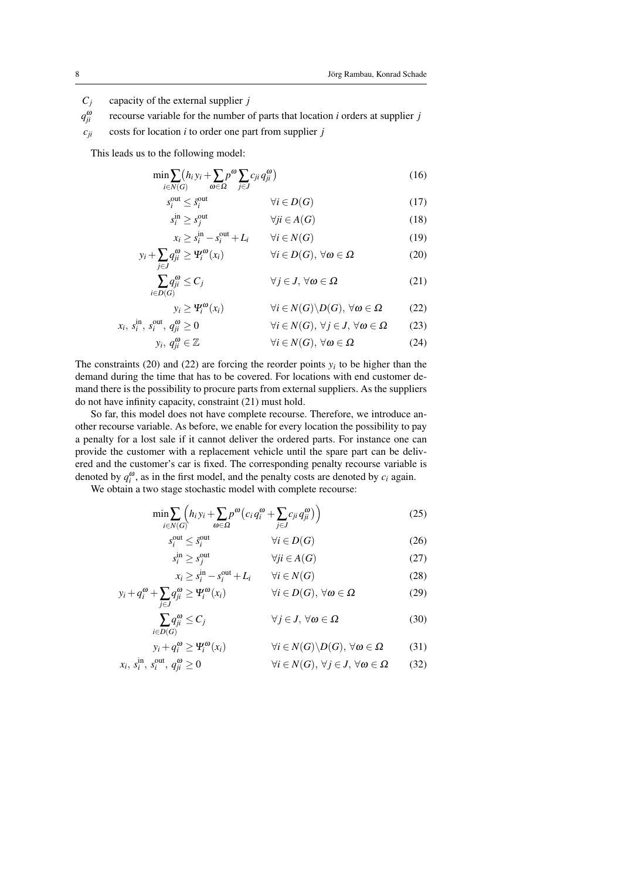*C<sup>j</sup>* capacity of the external supplier *j*

*q* ω *ji* recourse variable for the number of parts that location *i* orders at supplier *j*

 $c_{ii}$  costs for location *i* to order one part from supplier *j* 

This leads us to the following model:

$$
\min \sum_{i \in N(G)} (h_i y_i + \sum_{\omega \in \Omega} p^{\omega} \sum_{j \in J} c_{ji} q^{\omega}_{ji})
$$
\n(16)

$$
s_i^{\text{out}} \le \bar{s}_i^{\text{out}} \qquad \qquad \forall i \in D(G) \tag{17}
$$

$$
s_i^{\text{in}} \ge s_j^{\text{out}} \qquad \qquad \forall ji \in A(G) \tag{18}
$$

$$
x_i \ge s_i^{\text{in}} - s_i^{\text{out}} + L_i \qquad \forall i \in N(G)
$$
\n(19)

$$
y_i + \sum_{j \in J} q_{ji}^{\omega} \ge \Psi_i^{\omega}(x_i) \qquad \forall i \in D(G), \forall \omega \in \Omega \tag{20}
$$

$$
\sum_{i \in D(G)} q_{ji}^{\omega} \le C_j \qquad \forall j \in J, \,\forall \omega \in \Omega \tag{21}
$$

$$
y_i \ge \Psi_i^{\omega}(x_i) \qquad \forall i \in N(G) \backslash D(G), \,\forall \omega \in \Omega \qquad (22)
$$

$$
x_i, s_i^{\text{in}}, s_i^{\text{out}}, q_{ji}^{\omega} \ge 0 \qquad \qquad \forall i \in N(G), \forall j \in J, \forall \omega \in \Omega \qquad (23)
$$

$$
y_i, q_{ji}^{\omega} \in \mathbb{Z} \qquad \qquad \forall i \in N(G), \,\forall \omega \in \Omega \tag{24}
$$

The constraints (20) and (22) are forcing the reorder points  $y_i$  to be higher than the demand during the time that has to be covered. For locations with end customer demand there is the possibility to procure parts from external suppliers. As the suppliers do not have infinity capacity, constraint (21) must hold.

So far, this model does not have complete recourse. Therefore, we introduce another recourse variable. As before, we enable for every location the possibility to pay a penalty for a lost sale if it cannot deliver the ordered parts. For instance one can provide the customer with a replacement vehicle until the spare part can be delivered and the customer's car is fixed. The corresponding penalty recourse variable is denoted by  $q_i^{\omega}$ , as in the first model, and the penalty costs are denoted by  $c_i$  again.

We obtain a two stage stochastic model with complete recourse:

$$
\min \sum_{i \in N(G)} \left( h_i y_i + \sum_{\omega \in \Omega} p^{\omega} \left( c_i q_i^{\omega} + \sum_{j \in J} c_{ji} q_{ji}^{\omega} \right) \right) \tag{25}
$$

$$
s_i^{\text{out}} \le \bar{s}_i^{\text{out}} \qquad \qquad \forall i \in D(G) \tag{26}
$$

$$
s_i^{\text{in}} \ge s_j^{\text{out}} \qquad \qquad \forall j i \in A(G) \tag{27}
$$

$$
x_i \ge s_i^{\text{in}} - s_i^{\text{out}} + L_i \qquad \forall i \in N(G)
$$
 (28)

$$
y_i + q_i^{\omega} + \sum_{j \in J} q_j^{\omega} \ge \Psi_i^{\omega}(x_i) \qquad \forall i \in D(G), \forall \omega \in \Omega \tag{29}
$$

$$
\sum_{i \in D(G)} q_{ji}^{\omega} \le C_j \qquad \forall j \in J, \forall \omega \in \Omega \tag{30}
$$

$$
y_i + q_i^{\omega} \ge \Psi_i^{\omega}(x_i) \qquad \forall i \in N(G) \backslash D(G), \,\forall \omega \in \Omega \tag{31}
$$

$$
x_i, s_i^{\text{in}}, s_i^{\text{out}}, q_{ji}^{\omega} \ge 0 \qquad \qquad \forall i \in N(G), \forall j \in J, \forall \omega \in \Omega \qquad (32)
$$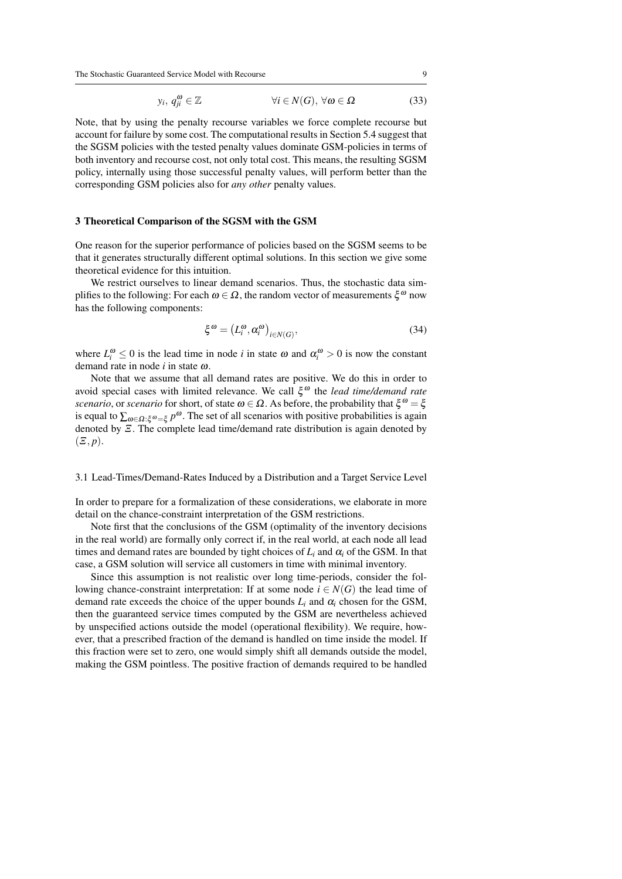The Stochastic Guaranteed Service Model with Recourse 9

$$
y_i, q_{ji}^{\omega} \in \mathbb{Z} \qquad \qquad \forall i \in N(G), \forall \omega \in \Omega \tag{33}
$$

Note, that by using the penalty recourse variables we force complete recourse but account for failure by some cost. The computational results in Section 5.4 suggest that the SGSM policies with the tested penalty values dominate GSM-policies in terms of both inventory and recourse cost, not only total cost. This means, the resulting SGSM policy, internally using those successful penalty values, will perform better than the corresponding GSM policies also for *any other* penalty values.

#### 3 Theoretical Comparison of the SGSM with the GSM

One reason for the superior performance of policies based on the SGSM seems to be that it generates structurally different optimal solutions. In this section we give some theoretical evidence for this intuition.

We restrict ourselves to linear demand scenarios. Thus, the stochastic data simplifies to the following: For each  $\omega \in \Omega$ , the random vector of measurements  $\xi^{\omega}$  now has the following components:

$$
\xi^{\omega} = (L_i^{\omega}, \alpha_i^{\omega})_{i \in N(G)},\tag{34}
$$

where  $L_i^{\omega} \leq 0$  is the lead time in node *i* in state  $\omega$  and  $\alpha_i^{\omega} > 0$  is now the constant demand rate in node *i* in state ω.

Note that we assume that all demand rates are positive. We do this in order to avoid special cases with limited relevance. We call ξ <sup>ω</sup> the *lead time/demand rate scenario*, or *scenario* for short, of state  $\omega \in \Omega$ . As before, the probability that  $\xi^{\omega} = \xi$ is equal to  $\sum_{\omega \in \Omega: \xi^{\omega} = \xi} p^{\omega}$ . The set of all scenarios with positive probabilities is again denoted by Ξ. The complete lead time/demand rate distribution is again denoted by  $(\Xi, p).$ 

## 3.1 Lead-Times/Demand-Rates Induced by a Distribution and a Target Service Level

In order to prepare for a formalization of these considerations, we elaborate in more detail on the chance-constraint interpretation of the GSM restrictions.

Note first that the conclusions of the GSM (optimality of the inventory decisions in the real world) are formally only correct if, in the real world, at each node all lead times and demand rates are bounded by tight choices of  $L_i$  and  $\alpha_i$  of the GSM. In that case, a GSM solution will service all customers in time with minimal inventory.

Since this assumption is not realistic over long time-periods, consider the following chance-constraint interpretation: If at some node  $i \in N(G)$  the lead time of demand rate exceeds the choice of the upper bounds  $L_i$  and  $\alpha_i$  chosen for the GSM, then the guaranteed service times computed by the GSM are nevertheless achieved by unspecified actions outside the model (operational flexibility). We require, however, that a prescribed fraction of the demand is handled on time inside the model. If this fraction were set to zero, one would simply shift all demands outside the model, making the GSM pointless. The positive fraction of demands required to be handled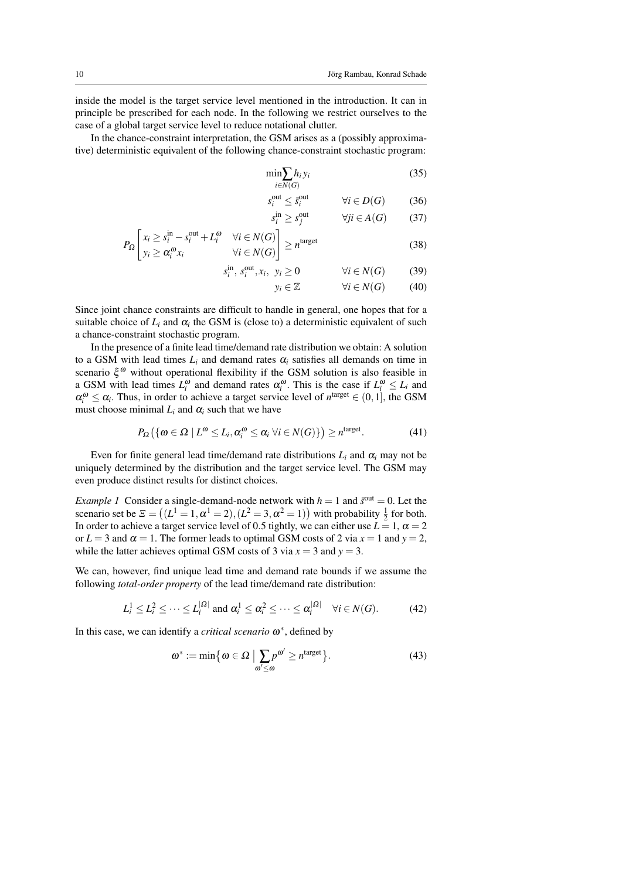inside the model is the target service level mentioned in the introduction. It can in principle be prescribed for each node. In the following we restrict ourselves to the case of a global target service level to reduce notational clutter.

In the chance-constraint interpretation, the GSM arises as a (possibly approximative) deterministic equivalent of the following chance-constraint stochastic program:

$$
\min_{i \in N(G)} h_i y_i \tag{35}
$$

$$
\begin{array}{ll}\n\frac{\partial}{\partial u} & \text{if } i \leq \bar{s}_i^{\text{out}} \\
\text{if } i \leq \bar{s}_i^{\text{out}}\n\end{array} \qquad (36)
$$

$$
\lim_{i} \ge s_{j}^{\text{out}} \qquad \forall ji \in A(G) \qquad (37)
$$

$$
P_{\Omega} \left[ \begin{array}{cc} x_i \geq s_i^{\text{in}} - s_i^{\text{out}} + L_i^{\omega} & \forall i \in N(G) \\ y_i \geq \alpha_i^{\omega} x_i & \forall i \in N(G) \end{array} \right] \geq n^{\text{target}} \tag{38}
$$

*s* in

*s*

$$
\lim_{i} s_{i}^{\text{out}}, s_{i}^{\text{out}}, x_{i}, y_{i} \ge 0 \qquad \forall i \in N(G) \qquad (39)
$$

 $y_i \in \mathbb{Z}$   $\forall i \in N(G)$  (40)

Since joint chance constraints are difficult to handle in general, one hopes that for a suitable choice of  $L_i$  and  $\alpha_i$  the GSM is (close to) a deterministic equivalent of such a chance-constraint stochastic program.

*s*

In the presence of a finite lead time/demand rate distribution we obtain: A solution to a GSM with lead times  $L_i$  and demand rates  $\alpha_i$  satisfies all demands on time in scenario  $\xi^{\omega}$  without operational flexibility if the GSM solution is also feasible in a GSM with lead times  $L_i^{\omega}$  and demand rates  $\alpha_i^{\omega}$ . This is the case if  $L_i^{\omega} \le L_i$  and  $\alpha_i^{\omega} \leq \alpha_i$ . Thus, in order to achieve a target service level of  $n^{\text{target}} \in (0,1]$ , the GSM must choose minimal  $L_i$  and  $\alpha_i$  such that we have

$$
P_{\Omega}\left(\left\{\omega \in \Omega \mid L^{\omega} \leq L_i, \alpha_i^{\omega} \leq \alpha_i \; \forall i \in N(G)\right\}\right) \geq n^{\text{target}}.\tag{41}
$$

Even for finite general lead time/demand rate distributions  $L_i$  and  $\alpha_i$  may not be uniquely determined by the distribution and the target service level. The GSM may even produce distinct results for distinct choices.

*Example 1* Consider a single-demand-node network with  $h = 1$  and  $\bar{s}^{\text{out}} = 0$ . Let the scenario set be  $\mathcal{Z} = ((L^1 = 1, \alpha^1 = 2), (L^2 = 3, \alpha^2 = 1))$  with probability  $\frac{1}{2}$  for both. In order to achieve a target service level of 0.5 tightly, we can either use  $L = 1$ ,  $\alpha = 2$ or  $L = 3$  and  $\alpha = 1$ . The former leads to optimal GSM costs of 2 via  $x = 1$  and  $y = 2$ , while the latter achieves optimal GSM costs of 3 via  $x = 3$  and  $y = 3$ .

We can, however, find unique lead time and demand rate bounds if we assume the following *total-order property* of the lead time/demand rate distribution:

$$
L_i^1 \le L_i^2 \le \dots \le L_i^{|\Omega|} \text{ and } \alpha_i^1 \le \alpha_i^2 \le \dots \le \alpha_i^{|\Omega|} \quad \forall i \in N(G). \tag{42}
$$

In this case, we can identify a *critical scenario* ω ∗ , defined by

$$
\omega^* := \min\big\{\omega \in \Omega \mid \sum_{\omega' \leq \omega} p^{\omega'} \geq n^{\text{target}}\big\}.
$$
 (43)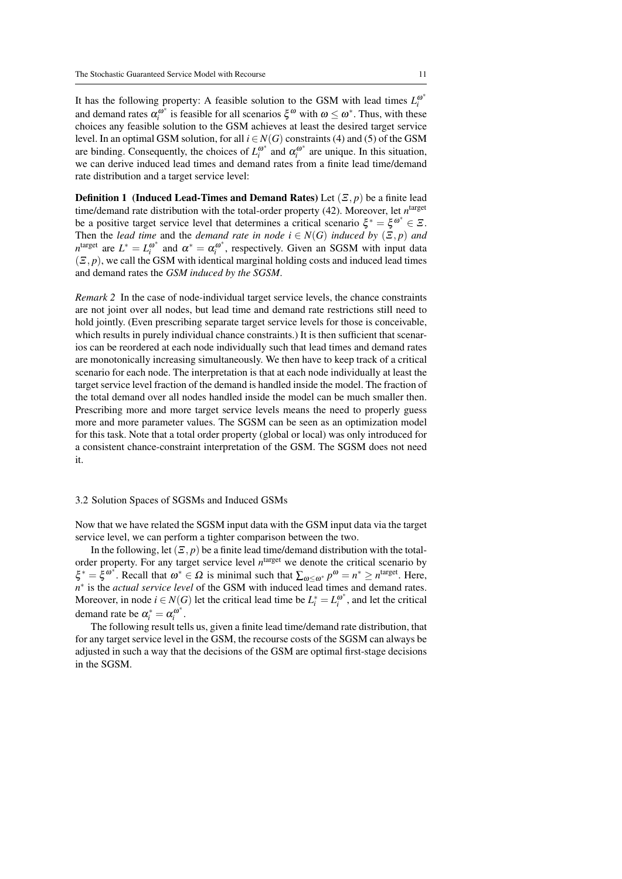It has the following property: A feasible solution to the GSM with lead times  $L_i^{\omega^*}$ *i* and demand rates  $\alpha_i^{\omega^*}$  $\omega_i^{\omega^*}$  is feasible for all scenarios  $\xi^{\omega}$  with  $\omega \leq \omega^*$ . Thus, with these choices any feasible solution to the GSM achieves at least the desired target service level. In an optimal GSM solution, for all  $i \in N(G)$  constraints (4) and (5) of the GSM are binding. Consequently, the choices of  $L_i^{\omega^*}$  $\alpha_i^{\omega^*}$  and  $\alpha_i^{\omega^*}$  $i_i^{a}$  are unique. In this situation, we can derive induced lead times and demand rates from a finite lead time/demand rate distribution and a target service level:

**Definition 1** (Induced Lead-Times and Demand Rates) Let  $(\mathcal{Z}, p)$  be a finite lead time/demand rate distribution with the total-order property (42). Moreover, let  $n^{\text{target}}$ be a positive target service level that determines a critical scenario  $\xi^* = \xi^{\omega^*} \in \Xi$ . Then the *lead time* and the *demand rate in node*  $i \in N(G)$  *induced by*  $(\Xi, p)$  *and*  $n^{\text{target}}$  are  $L^* = L_i^{\omega^*}$  $\alpha_i^{\omega^*}$  and  $\alpha^* = \alpha_i^{\omega^*}$  $\mathbf{r}_i^{\omega^*}$ , respectively. Given an SGSM with input data  $(\mathcal{Z}, p)$ , we call the GSM with identical marginal holding costs and induced lead times and demand rates the *GSM induced by the SGSM*.

*Remark 2* In the case of node-individual target service levels, the chance constraints are not joint over all nodes, but lead time and demand rate restrictions still need to hold jointly. (Even prescribing separate target service levels for those is conceivable, which results in purely individual chance constraints.) It is then sufficient that scenarios can be reordered at each node individually such that lead times and demand rates are monotonically increasing simultaneously. We then have to keep track of a critical scenario for each node. The interpretation is that at each node individually at least the target service level fraction of the demand is handled inside the model. The fraction of the total demand over all nodes handled inside the model can be much smaller then. Prescribing more and more target service levels means the need to properly guess more and more parameter values. The SGSM can be seen as an optimization model for this task. Note that a total order property (global or local) was only introduced for a consistent chance-constraint interpretation of the GSM. The SGSM does not need it.

#### 3.2 Solution Spaces of SGSMs and Induced GSMs

Now that we have related the SGSM input data with the GSM input data via the target service level, we can perform a tighter comparison between the two.

In the following, let  $(\mathcal{Z}, p)$  be a finite lead time/demand distribution with the totalorder property. For any target service level n<sup>target</sup> we denote the critical scenario by  $\xi^* = \xi^{\omega^*}$ . Recall that  $\omega^* \in \Omega$  is minimal such that  $\sum_{\omega \leq \omega^*} p^{\omega} = n^* \geq n^{\text{target}}$ . Here, n<sup>\*</sup> is the *actual service level* of the GSM with induced lead times and demand rates. Moreover, in node  $i \in N(G)$  let the critical lead time be  $L_i^* = L_i^{\omega^*}$  $\binom{a}{i}$ , and let the critical demand rate be  $\alpha_i^* = \alpha_i^{\omega^*}$ *i* .

The following result tells us, given a finite lead time/demand rate distribution, that for any target service level in the GSM, the recourse costs of the SGSM can always be adjusted in such a way that the decisions of the GSM are optimal first-stage decisions in the SGSM.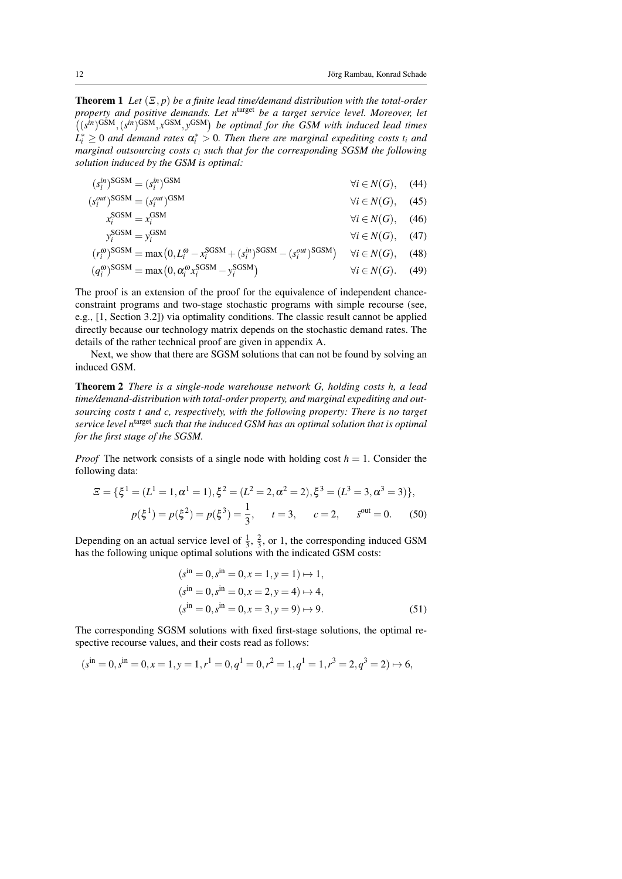Theorem 1 *Let* (Ξ, *p*) *be a finite lead time/demand distribution with the total-order property and positive demands. Let n*target *be a target service level. Moreover, let*  $((s^{in})^{\text{GSM}}, (s^{in})^{\text{GSM}}, x^{\text{GSM}}, y^{\text{GSM}})$  be optimal for the GSM with induced lead times  $L_i^* \geq 0$  *and demand rates*  $\alpha_i^* > 0$ . Then there are marginal expediting costs t<sub>i</sub> and *marginal outsourcing costs c<sup>i</sup> such that for the corresponding SGSM the following solution induced by the GSM is optimal:*

$$
(s_i^{in})^{\text{SGSM}} = (s_i^{in})^{\text{GSM}}
$$
\n
$$
\forall i \in N(G), \quad (44)
$$

$$
(s_i^{out})^{\text{SGSM}} = (s_i^{out})^{\text{GSM}}
$$
  

$$
\forall i \in N(G), \quad (45)
$$

$$
x_i^{\text{SGSM}} = x_i^{\text{GSM}} \qquad \qquad \forall i \in N(G), \quad (46)
$$

$$
y_i^{\text{SGSM}} = y_i^{\text{GSM}} \qquad \forall i \in N(G), \quad (47)
$$
  

$$
r^{\omega} \text{SGSM} = \max\left(0, I^{\omega} - r^{\text{SGSM}} + (s^{\text{in}})^{\text{SGSM}} - (s^{\text{out}})^{\text{SGSM}}\right) \qquad \forall i \in N(G) \qquad (48)
$$

$$
(r_i^{\omega})^{\text{SGSM}} = \max(0, L_i^{\omega} - x_i^{\text{SGSM}} + (s_i^{\text{in}})^{\text{SGSM}} - (s_i^{\text{out}})^{\text{SGSM}}) \quad \forall i \in N(G), \quad (48)
$$
  

$$
(q_i^{\omega})^{\text{SGSM}} = \max(0, \alpha_i^{\omega} x_i^{\text{SGSM}} - y_i^{\text{SGSM}}) \quad \forall i \in N(G). \quad (49)
$$

The proof is an extension of the proof for the equivalence of independent chanceconstraint programs and two-stage stochastic programs with simple recourse (see, e.g., [1, Section 3.2]) via optimality conditions. The classic result cannot be applied directly because our technology matrix depends on the stochastic demand rates. The details of the rather technical proof are given in appendix A.

Next, we show that there are SGSM solutions that can not be found by solving an induced GSM.

Theorem 2 *There is a single-node warehouse network G, holding costs h, a lead time/demand-distribution with total-order property, and marginal expediting and outsourcing costs t and c, respectively, with the following property: There is no target service level n*target *such that the induced GSM has an optimal solution that is optimal for the first stage of the SGSM.*

*Proof* The network consists of a single node with holding cost  $h = 1$ . Consider the following data:

$$
\mathcal{Z} = \{\xi^1 = (L^1 = 1, \alpha^1 = 1), \xi^2 = (L^2 = 2, \alpha^2 = 2), \xi^3 = (L^3 = 3, \alpha^3 = 3)\},
$$
  

$$
p(\xi^1) = p(\xi^2) = p(\xi^3) = \frac{1}{3}, \qquad t = 3, \qquad c = 2, \qquad \xi^{\text{out}} = 0.
$$
 (50)

Depending on an actual service level of  $\frac{1}{3}$ ,  $\frac{2}{3}$ , or 1, the corresponding induced GSM has the following unique optimal solutions with the indicated GSM costs:

$$
(sin = 0, sin = 0, x = 1, y = 1) \mapsto 1,(sin = 0, sin = 0, x = 2, y = 4) \mapsto 4,(sin = 0, sin = 0, x = 3, y = 9) \mapsto 9.
$$
 (51)

The corresponding SGSM solutions with fixed first-stage solutions, the optimal respective recourse values, and their costs read as follows:

$$
(sin = 0, sin = 0, x = 1, y = 1, r1 = 0, q1 = 0, r2 = 1, q1 = 1, r3 = 2, q3 = 2) \mapsto 6,
$$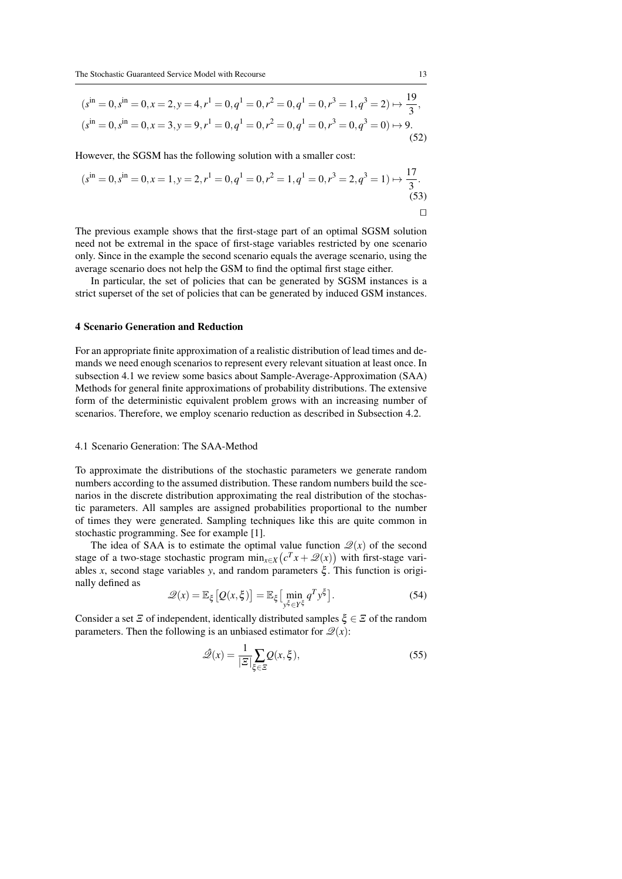$$
(sin = 0, sin = 0, x = 2, y = 4, r1 = 0, q1 = 0, r2 = 0, q1 = 0, r3 = 1, q3 = 2) \mapsto \frac{19}{3},
$$
  
\n
$$
(sin = 0, sin = 0, x = 3, y = 9, r1 = 0, q1 = 0, r2 = 0, q1 = 0, r3 = 0, q3 = 0) \mapsto 9.
$$
  
\n(52)

However, the SGSM has the following solution with a smaller cost:

$$
(sin = 0, sin = 0, x = 1, y = 2, r1 = 0, q1 = 0, r2 = 1, q1 = 0, r3 = 2, q3 = 1) \mapsto \frac{17}{3}.
$$
\n(53)

The previous example shows that the first-stage part of an optimal SGSM solution need not be extremal in the space of first-stage variables restricted by one scenario only. Since in the example the second scenario equals the average scenario, using the average scenario does not help the GSM to find the optimal first stage either.

In particular, the set of policies that can be generated by SGSM instances is a strict superset of the set of policies that can be generated by induced GSM instances.

## 4 Scenario Generation and Reduction

For an appropriate finite approximation of a realistic distribution of lead times and demands we need enough scenarios to represent every relevant situation at least once. In subsection 4.1 we review some basics about Sample-Average-Approximation (SAA) Methods for general finite approximations of probability distributions. The extensive form of the deterministic equivalent problem grows with an increasing number of scenarios. Therefore, we employ scenario reduction as described in Subsection 4.2.

#### 4.1 Scenario Generation: The SAA-Method

To approximate the distributions of the stochastic parameters we generate random numbers according to the assumed distribution. These random numbers build the scenarios in the discrete distribution approximating the real distribution of the stochastic parameters. All samples are assigned probabilities proportional to the number of times they were generated. Sampling techniques like this are quite common in stochastic programming. See for example [1].

The idea of SAA is to estimate the optimal value function  $\mathcal{Q}(x)$  of the second stage of a two-stage stochastic program  $\min_{x \in X} (c^T x + \mathcal{Q}(x))$  with first-stage variables *x*, second stage variables *y*, and random parameters ξ . This function is originally defined as

$$
\mathcal{Q}(x) = \mathbb{E}_{\xi} \left[ Q(x, \xi) \right] = \mathbb{E}_{\xi} \left[ \min_{y^{\xi} \in Y^{\xi}} q^T y^{\xi} \right]. \tag{54}
$$

Consider a set  $\Xi$  of independent, identically distributed samples  $\xi \in \Xi$  of the random parameters. Then the following is an unbiased estimator for  $\mathcal{Q}(x)$ :

$$
\hat{\mathcal{Q}}(x) = \frac{1}{|\mathcal{Z}|} \sum_{\xi \in \mathcal{Z}} Q(x, \xi),\tag{55}
$$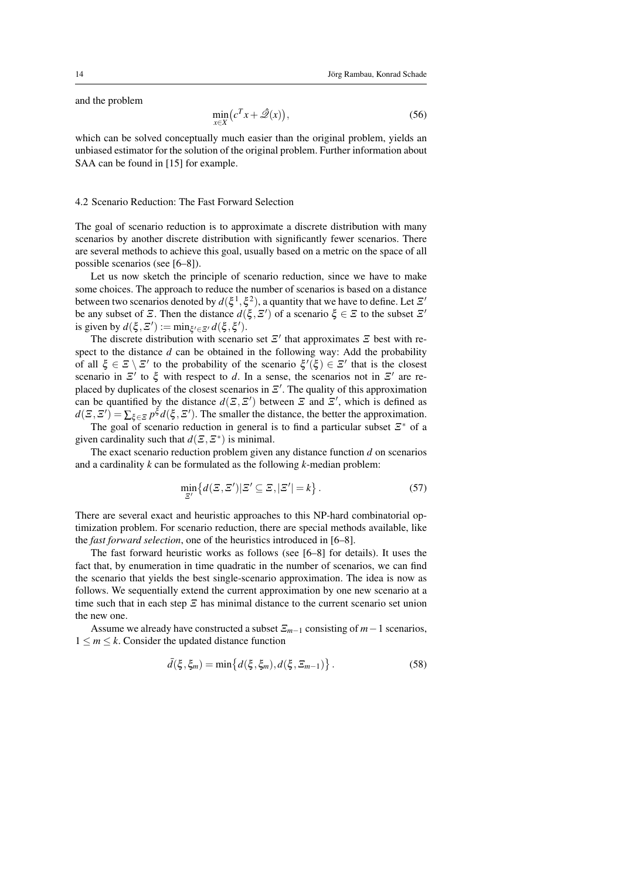and the problem

$$
\min_{x \in X} \left( c^T x + \hat{\mathscr{Q}}(x) \right),\tag{56}
$$

which can be solved conceptually much easier than the original problem, yields an unbiased estimator for the solution of the original problem. Further information about SAA can be found in [15] for example.

#### 4.2 Scenario Reduction: The Fast Forward Selection

The goal of scenario reduction is to approximate a discrete distribution with many scenarios by another discrete distribution with significantly fewer scenarios. There are several methods to achieve this goal, usually based on a metric on the space of all possible scenarios (see [6–8]).

Let us now sketch the principle of scenario reduction, since we have to make some choices. The approach to reduce the number of scenarios is based on a distance between two scenarios denoted by  $d(\xi^1, \xi^2)$ , a quantity that we have to define. Let  $\mathcal{Z}'$ be any subset of  $\mathcal{Z}$ . Then the distance  $d(\xi, \mathcal{Z}')$  of a scenario  $\xi \in \mathcal{Z}$  to the subset  $\mathcal{Z}'$ is given by  $d(\xi, \Xi') := \min_{\xi' \in \Xi'} d(\xi, \xi').$ 

The discrete distribution with scenario set  $\mathcal{Z}'$  that approximates  $\mathcal{Z}$  best with respect to the distance *d* can be obtained in the following way: Add the probability of all  $\xi \in \mathcal{Z} \setminus \mathcal{Z}'$  to the probability of the scenario  $\xi'(\xi) \in \mathcal{Z}'$  that is the closest scenario in  $\mathbb{E}^7$  to  $\xi$  with respect to *d*. In a sense, the scenarios not in  $\mathbb{E}^7$  are replaced by duplicates of the closest scenarios in  $\mathbb{E}'$ . The quality of this approximation can be quantified by the distance  $d(\mathcal{Z}, \mathcal{Z}')$  between  $\mathcal Z$  and  $\mathcal Z'$ , which is defined as  $d(\Xi, \Xi') = \sum_{\xi \in \Xi} p^{\xi} d(\xi, \Xi')$ . The smaller the distance, the better the approximation.

The goal of scenario reduction in general is to find a particular subset  $\mathbb{Z}^*$  of a given cardinality such that  $d(\mathcal{Z}, \mathcal{Z}^*)$  is minimal.

The exact scenario reduction problem given any distance function *d* on scenarios and a cardinality *k* can be formulated as the following *k*-median problem:

$$
\min_{\mathcal{Z}'} \{ d(\mathcal{Z}, \mathcal{Z}') | \mathcal{Z}' \subseteq \mathcal{Z}, |\mathcal{Z}'| = k \}.
$$
\n(57)

There are several exact and heuristic approaches to this NP-hard combinatorial optimization problem. For scenario reduction, there are special methods available, like the *fast forward selection*, one of the heuristics introduced in [6–8].

The fast forward heuristic works as follows (see [6–8] for details). It uses the fact that, by enumeration in time quadratic in the number of scenarios, we can find the scenario that yields the best single-scenario approximation. The idea is now as follows. We sequentially extend the current approximation by one new scenario at a time such that in each step  $\mathcal{E}$  has minimal distance to the current scenario set union the new one.

Assume we already have constructed a subset  $\Xi_{m-1}$  consisting of  $m-1$  scenarios,  $1 \leq m \leq k$ . Consider the updated distance function

$$
\bar{d}(\xi, \xi_m) = \min \{ d(\xi, \xi_m), d(\xi, \Xi_{m-1}) \}.
$$
 (58)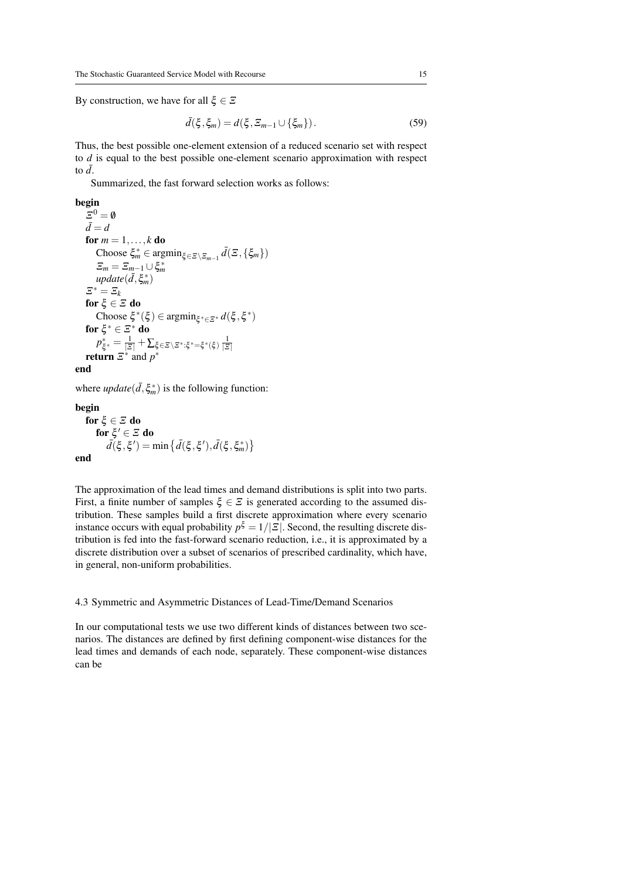By construction, we have for all  $\xi \in \mathcal{Z}$ 

$$
\bar{d}(\xi, \xi_m) = d(\xi, \Xi_{m-1} \cup \{\xi_m\}). \tag{59}
$$

Thus, the best possible one-element extension of a reduced scenario set with respect to *d* is equal to the best possible one-element scenario approximation with respect to  $\bar{d}$ .

Summarized, the fast forward selection works as follows:

# begin

```
\mathfrak{S}^0 = \emptyset\overline{d} = dfor m = 1, \ldots, k do
          Choose \xi_m^* \in \text{argmin}_{\xi \in \Xi \setminus \Xi_{m-1}} \bar{d}(\Xi, \{\xi_m\})\Xi_m = \Xi_{m-1} \cup \xi_m^*update(\bar{d}, \xi_m^*)\Xi^* = \Xi_kfor \mathbf{\xi} \in \Xi do
          Choose \xi^*(\xi) ∈ argmin<sub>ξ*∈Ξ</sub>* d(\xi, \xi^*)for \xi^*\in \Xi^* do
           p
∗
             \frac{\ast}{\xi^*} = \frac{1}{|\Xi|} + \sum_{\xi \in \Xi \setminus \Xi^* : \xi^* = \xi^*(\xi)} \frac{1}{|\Xi|}return \mathbb{E}^* and p^*end
```
where  $update(\bar{d}, \xi_m^*)$  is the following function:

begin for  $\xi \in \Xi$  do for  $\xi'\in\Xi$  do  $\bar{d}(\xi, \xi') = \min \big\{ \bar{d}(\xi, \xi'), \bar{d}(\xi, \xi^*) \big\}$ 

end

The approximation of the lead times and demand distributions is split into two parts. First, a finite number of samples  $\xi \in \mathcal{E}$  is generated according to the assumed distribution. These samples build a first discrete approximation where every scenario instance occurs with equal probability  $p^{\xi} = 1/|\mathcal{Z}|$ . Second, the resulting discrete distribution is fed into the fast-forward scenario reduction, i.e., it is approximated by a discrete distribution over a subset of scenarios of prescribed cardinality, which have, in general, non-uniform probabilities.

#### 4.3 Symmetric and Asymmetric Distances of Lead-Time/Demand Scenarios

In our computational tests we use two different kinds of distances between two scenarios. The distances are defined by first defining component-wise distances for the lead times and demands of each node, separately. These component-wise distances can be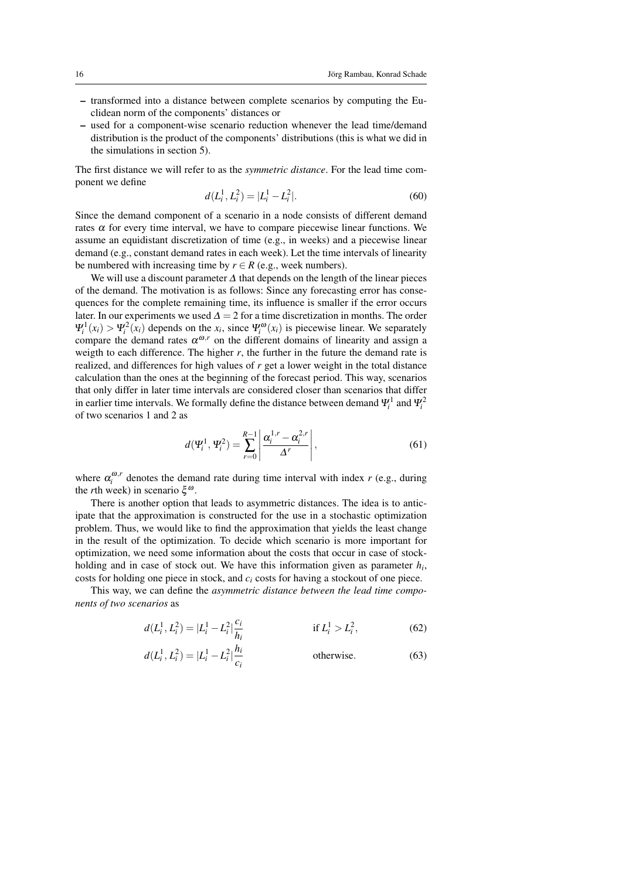- transformed into a distance between complete scenarios by computing the Euclidean norm of the components' distances or
- used for a component-wise scenario reduction whenever the lead time/demand distribution is the product of the components' distributions (this is what we did in the simulations in section 5).

The first distance we will refer to as the *symmetric distance*. For the lead time component we define

$$
d(L_i^1, L_i^2) = |L_i^1 - L_i^2|.
$$
\n(60)

Since the demand component of a scenario in a node consists of different demand rates  $\alpha$  for every time interval, we have to compare piecewise linear functions. We assume an equidistant discretization of time (e.g., in weeks) and a piecewise linear demand (e.g., constant demand rates in each week). Let the time intervals of linearity be numbered with increasing time by  $r \in R$  (e.g., week numbers).

We will use a discount parameter  $\Delta$  that depends on the length of the linear pieces of the demand. The motivation is as follows: Since any forecasting error has consequences for the complete remaining time, its influence is smaller if the error occurs later. In our experiments we used  $\Delta = 2$  for a time discretization in months. The order  $\Psi_i^1(x_i) > \Psi_i^2(x_i)$  depends on the  $x_i$ , since  $\Psi_i^{\omega}(x_i)$  is piecewise linear. We separately compare the demand rates  $\alpha^{\omega,r}$  on the different domains of linearity and assign a weigth to each difference. The higher *r*, the further in the future the demand rate is realized, and differences for high values of *r* get a lower weight in the total distance calculation than the ones at the beginning of the forecast period. This way, scenarios that only differ in later time intervals are considered closer than scenarios that differ in earlier time intervals. We formally define the distance between demand  $\Psi_i^1$  and  $\Psi_i^2$ of two scenarios 1 and 2 as

$$
d(\Psi_i^1, \Psi_i^2) = \sum_{r=0}^{R-1} \left| \frac{\alpha_i^{1,r} - \alpha_i^{2,r}}{\Delta^r} \right|,
$$
 (61)

where  $\alpha_i^{\omega,r}$  denotes the demand rate during time interval with index *r* (e.g., during the *r*th week) in scenario  $ξ<sup>ω</sup>$ .

There is another option that leads to asymmetric distances. The idea is to anticipate that the approximation is constructed for the use in a stochastic optimization problem. Thus, we would like to find the approximation that yields the least change in the result of the optimization. To decide which scenario is more important for optimization, we need some information about the costs that occur in case of stockholding and in case of stock out. We have this information given as parameter *h<sup>i</sup>* , costs for holding one piece in stock, and *c<sup>i</sup>* costs for having a stockout of one piece.

This way, we can define the *asymmetric distance between the lead time components of two scenarios* as

$$
d(L_i^1, L_i^2) = |L_i^1 - L_i^2| \frac{c_i}{h_i}
$$
 if  $L_i^1 > L_i^2$ , (62)

$$
d(L_i^1, L_i^2) = |L_i^1 - L_i^2| \frac{h_i}{c_i}
$$
 otherwise. (63)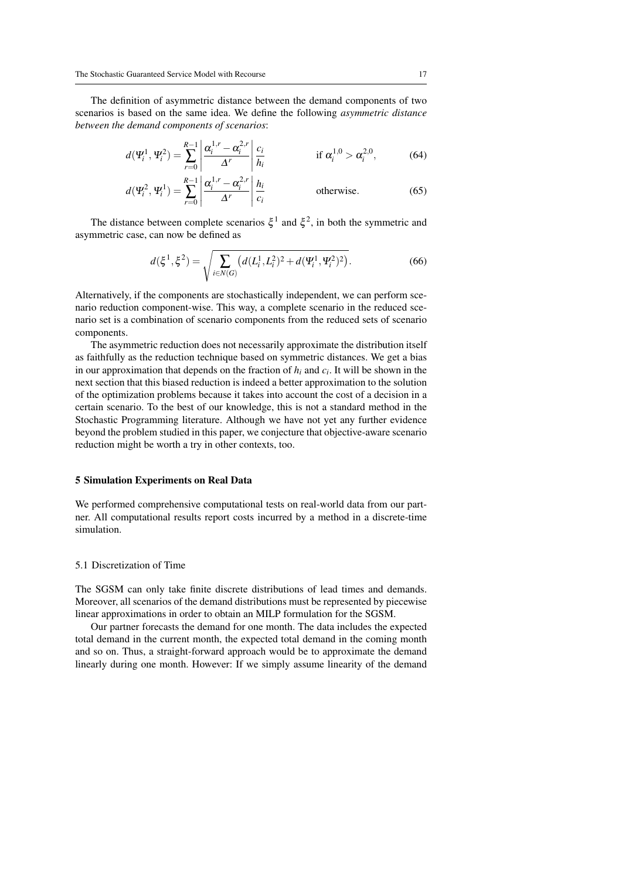The definition of asymmetric distance between the demand components of two scenarios is based on the same idea. We define the following *asymmetric distance between the demand components of scenarios*:

$$
d(\Psi_i^1, \Psi_i^2) = \sum_{r=0}^{R-1} \left| \frac{\alpha_i^{1,r} - \alpha_i^{2,r}}{\Delta^r} \right| \frac{c_i}{h_i} \qquad \text{if } \alpha_i^{1,0} > \alpha_i^{2,0}, \qquad (64)
$$

$$
d(\Psi_i^2, \Psi_i^1) = \sum_{r=0}^{R-1} \left| \frac{\alpha_i^{1,r} - \alpha_i^{2,r}}{\Delta^r} \right| \frac{h_i}{c_i}
$$
 otherwise. (65)

The distance between complete scenarios  $\xi^1$  and  $\xi^2$ , in both the symmetric and asymmetric case, can now be defined as

$$
d(\xi^1, \xi^2) = \sqrt{\sum_{i \in N(G)} \left( d(L_i^1, L_i^2)^2 + d(\Psi_i^1, \Psi_i^2)^2 \right)}.
$$
 (66)

Alternatively, if the components are stochastically independent, we can perform scenario reduction component-wise. This way, a complete scenario in the reduced scenario set is a combination of scenario components from the reduced sets of scenario components.

The asymmetric reduction does not necessarily approximate the distribution itself as faithfully as the reduction technique based on symmetric distances. We get a bias in our approximation that depends on the fraction of *h<sup>i</sup>* and *c<sup>i</sup>* . It will be shown in the next section that this biased reduction is indeed a better approximation to the solution of the optimization problems because it takes into account the cost of a decision in a certain scenario. To the best of our knowledge, this is not a standard method in the Stochastic Programming literature. Although we have not yet any further evidence beyond the problem studied in this paper, we conjecture that objective-aware scenario reduction might be worth a try in other contexts, too.

## 5 Simulation Experiments on Real Data

We performed comprehensive computational tests on real-world data from our partner. All computational results report costs incurred by a method in a discrete-time simulation.

## 5.1 Discretization of Time

The SGSM can only take finite discrete distributions of lead times and demands. Moreover, all scenarios of the demand distributions must be represented by piecewise linear approximations in order to obtain an MILP formulation for the SGSM.

Our partner forecasts the demand for one month. The data includes the expected total demand in the current month, the expected total demand in the coming month and so on. Thus, a straight-forward approach would be to approximate the demand linearly during one month. However: If we simply assume linearity of the demand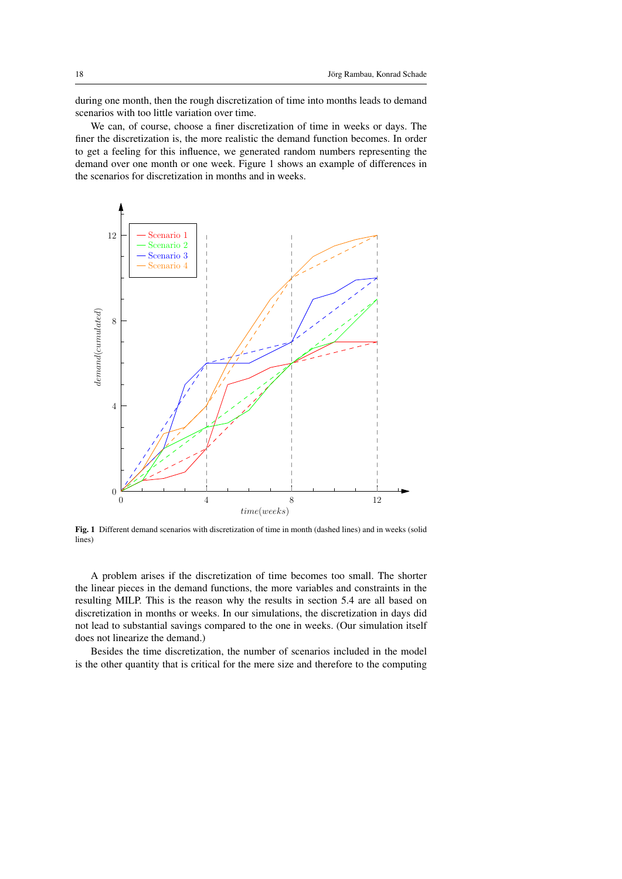during one month, then the rough discretization of time into months leads to demand scenarios with too little variation over time.

We can, of course, choose a finer discretization of time in weeks or days. The finer the discretization is, the more realistic the demand function becomes. In order to get a feeling for this influence, we generated random numbers representing the demand over one month or one week. Figure 1 shows an example of differences in the scenarios for discretization in months and in weeks.



Fig. 1 Different demand scenarios with discretization of time in month (dashed lines) and in weeks (solid lines)

A problem arises if the discretization of time becomes too small. The shorter the linear pieces in the demand functions, the more variables and constraints in the resulting MILP. This is the reason why the results in section 5.4 are all based on discretization in months or weeks. In our simulations, the discretization in days did not lead to substantial savings compared to the one in weeks. (Our simulation itself does not linearize the demand.)

Besides the time discretization, the number of scenarios included in the model is the other quantity that is critical for the mere size and therefore to the computing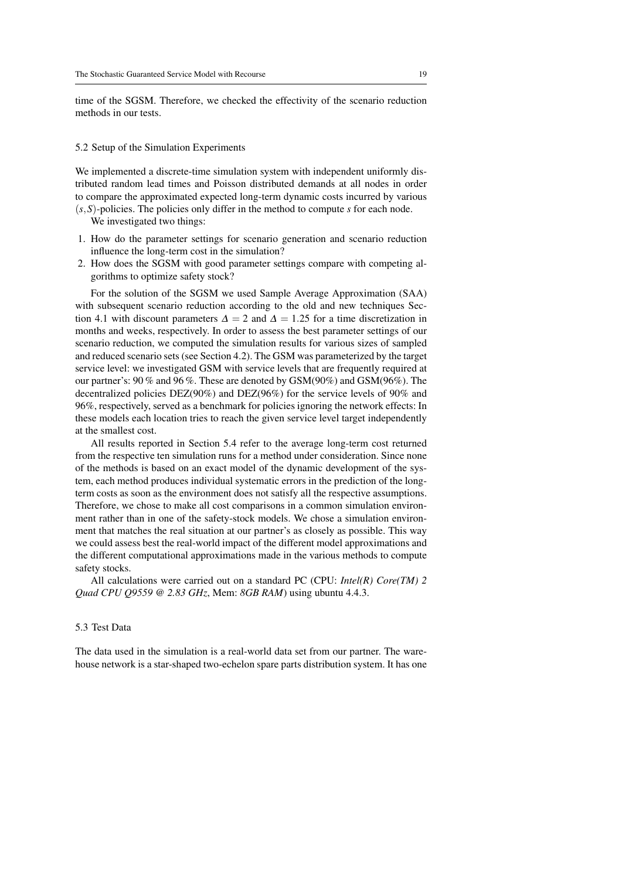time of the SGSM. Therefore, we checked the effectivity of the scenario reduction methods in our tests.

## 5.2 Setup of the Simulation Experiments

We implemented a discrete-time simulation system with independent uniformly distributed random lead times and Poisson distributed demands at all nodes in order to compare the approximated expected long-term dynamic costs incurred by various (*s*,*S*)-policies. The policies only differ in the method to compute *s* for each node.

We investigated two things:

- 1. How do the parameter settings for scenario generation and scenario reduction influence the long-term cost in the simulation?
- 2. How does the SGSM with good parameter settings compare with competing algorithms to optimize safety stock?

For the solution of the SGSM we used Sample Average Approximation (SAA) with subsequent scenario reduction according to the old and new techniques Section 4.1 with discount parameters  $\Delta = 2$  and  $\Delta = 1.25$  for a time discretization in months and weeks, respectively. In order to assess the best parameter settings of our scenario reduction, we computed the simulation results for various sizes of sampled and reduced scenario sets (see Section 4.2). The GSM was parameterized by the target service level: we investigated GSM with service levels that are frequently required at our partner's: 90 % and 96 %. These are denoted by GSM(90%) and GSM(96%). The decentralized policies DEZ(90%) and DEZ(96%) for the service levels of 90% and 96%, respectively, served as a benchmark for policies ignoring the network effects: In these models each location tries to reach the given service level target independently at the smallest cost.

All results reported in Section 5.4 refer to the average long-term cost returned from the respective ten simulation runs for a method under consideration. Since none of the methods is based on an exact model of the dynamic development of the system, each method produces individual systematic errors in the prediction of the longterm costs as soon as the environment does not satisfy all the respective assumptions. Therefore, we chose to make all cost comparisons in a common simulation environment rather than in one of the safety-stock models. We chose a simulation environment that matches the real situation at our partner's as closely as possible. This way we could assess best the real-world impact of the different model approximations and the different computational approximations made in the various methods to compute safety stocks.

All calculations were carried out on a standard PC (CPU: *Intel(R) Core(TM) 2 Quad CPU Q9559 @ 2.83 GHz*, Mem: *8GB RAM*) using ubuntu 4.4.3.

#### 5.3 Test Data

The data used in the simulation is a real-world data set from our partner. The warehouse network is a star-shaped two-echelon spare parts distribution system. It has one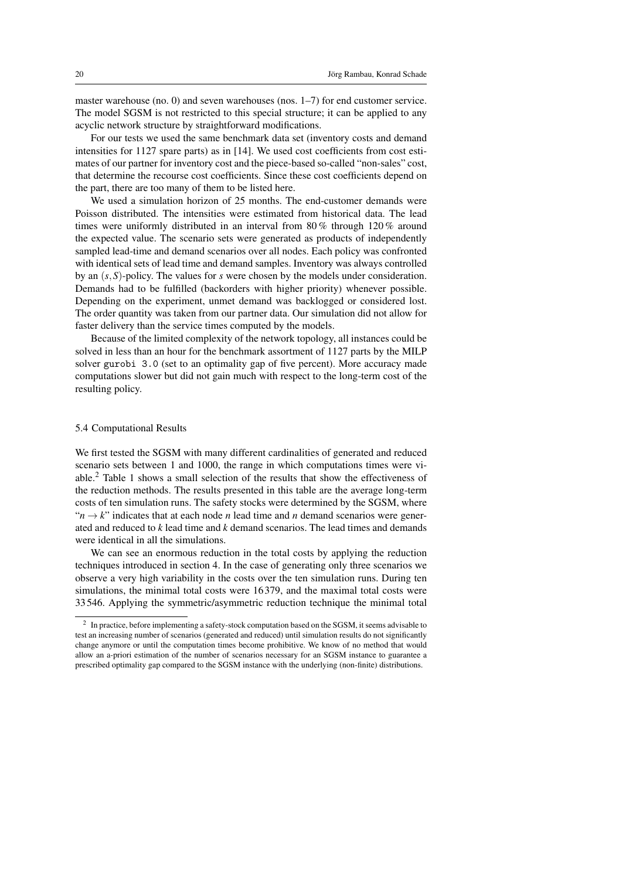master warehouse (no. 0) and seven warehouses (nos.  $1-7$ ) for end customer service. The model SGSM is not restricted to this special structure; it can be applied to any acyclic network structure by straightforward modifications.

For our tests we used the same benchmark data set (inventory costs and demand intensities for 1127 spare parts) as in [14]. We used cost coefficients from cost estimates of our partner for inventory cost and the piece-based so-called "non-sales" cost, that determine the recourse cost coefficients. Since these cost coefficients depend on the part, there are too many of them to be listed here.

We used a simulation horizon of 25 months. The end-customer demands were Poisson distributed. The intensities were estimated from historical data. The lead times were uniformly distributed in an interval from  $80\%$  through  $120\%$  around the expected value. The scenario sets were generated as products of independently sampled lead-time and demand scenarios over all nodes. Each policy was confronted with identical sets of lead time and demand samples. Inventory was always controlled by an (*s*,*S*)-policy. The values for *s* were chosen by the models under consideration. Demands had to be fulfilled (backorders with higher priority) whenever possible. Depending on the experiment, unmet demand was backlogged or considered lost. The order quantity was taken from our partner data. Our simulation did not allow for faster delivery than the service times computed by the models.

Because of the limited complexity of the network topology, all instances could be solved in less than an hour for the benchmark assortment of 1127 parts by the MILP solver gurobi 3.0 (set to an optimality gap of five percent). More accuracy made computations slower but did not gain much with respect to the long-term cost of the resulting policy.

## 5.4 Computational Results

We first tested the SGSM with many different cardinalities of generated and reduced scenario sets between 1 and 1000, the range in which computations times were viable.<sup>2</sup> Table 1 shows a small selection of the results that show the effectiveness of the reduction methods. The results presented in this table are the average long-term costs of ten simulation runs. The safety stocks were determined by the SGSM, where  $\mathfrak{m} \rightarrow k$ " indicates that at each node *n* lead time and *n* demand scenarios were generated and reduced to *k* lead time and *k* demand scenarios. The lead times and demands were identical in all the simulations.

We can see an enormous reduction in the total costs by applying the reduction techniques introduced in section 4. In the case of generating only three scenarios we observe a very high variability in the costs over the ten simulation runs. During ten simulations, the minimal total costs were 16 379, and the maximal total costs were 33 546. Applying the symmetric/asymmetric reduction technique the minimal total

 $2\;$  In practice, before implementing a safety-stock computation based on the SGSM, it seems advisable to test an increasing number of scenarios (generated and reduced) until simulation results do not significantly change anymore or until the computation times become prohibitive. We know of no method that would allow an a-priori estimation of the number of scenarios necessary for an SGSM instance to guarantee a prescribed optimality gap compared to the SGSM instance with the underlying (non-finite) distributions.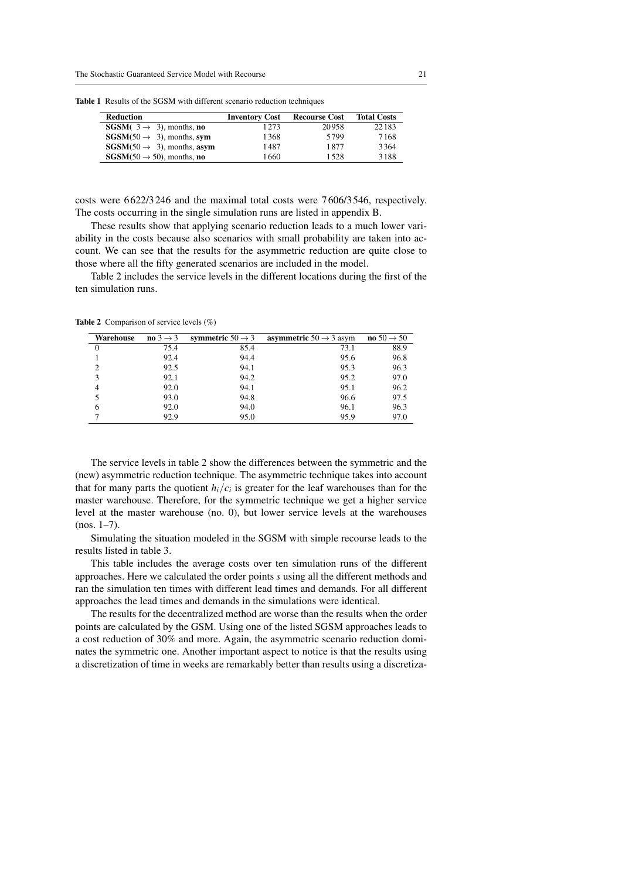| <b>Reduction</b>                                    | <b>Inventory Cost</b> | <b>Recourse Cost</b> | <b>Total Costs</b> |
|-----------------------------------------------------|-----------------------|----------------------|--------------------|
| <b>SGSM</b> $(3 \rightarrow 3)$ , months, <b>no</b> | 1273                  | 20958                | 22183              |
| $SGSM(50 \rightarrow 3)$ , months, sym              | 1368                  | 5799                 | 7168               |
| $SGSM(50 \rightarrow 3)$ , months, asym             | 1487                  | 1877                 | 3364               |
| $SGSM(50 \rightarrow 50)$ , months, no              | 1660                  | 1.528                | 3188               |

Table 1 Results of the SGSM with different scenario reduction techniques

costs were 6 622/3 246 and the maximal total costs were 7 606/3 546, respectively. The costs occurring in the single simulation runs are listed in appendix B.

These results show that applying scenario reduction leads to a much lower variability in the costs because also scenarios with small probability are taken into account. We can see that the results for the asymmetric reduction are quite close to those where all the fifty generated scenarios are included in the model.

Table 2 includes the service levels in the different locations during the first of the ten simulation runs.

Table 2 Comparison of service levels (%)

| Warehouse      | no $3 \rightarrow 3$ | symmetric $50 \rightarrow 3$ | <b>asymmetric</b> $50 \rightarrow 3$ asym | no $50 \rightarrow 50$ |
|----------------|----------------------|------------------------------|-------------------------------------------|------------------------|
| $\overline{0}$ | 75.4                 | 85.4                         | 73.1                                      | 88.9                   |
|                | 92.4                 | 94.4                         | 95.6                                      | 96.8                   |
| 2              | 92.5                 | 94.1                         | 95.3                                      | 96.3                   |
| 3              | 92.1                 | 94.2                         | 95.2                                      | 97.0                   |
| 4              | 92.0                 | 94.1                         | 95.1                                      | 96.2                   |
|                | 93.0                 | 94.8                         | 96.6                                      | 97.5                   |
| 6              | 92.0                 | 94.0                         | 96.1                                      | 96.3                   |
|                | 92.9                 | 95.0                         | 95.9                                      | 97.0                   |

The service levels in table 2 show the differences between the symmetric and the (new) asymmetric reduction technique. The asymmetric technique takes into account that for many parts the quotient  $h_i/c_i$  is greater for the leaf warehouses than for the master warehouse. Therefore, for the symmetric technique we get a higher service level at the master warehouse (no. 0), but lower service levels at the warehouses  $(nos. 1–7)$ .

Simulating the situation modeled in the SGSM with simple recourse leads to the results listed in table 3.

This table includes the average costs over ten simulation runs of the different approaches. Here we calculated the order points *s* using all the different methods and ran the simulation ten times with different lead times and demands. For all different approaches the lead times and demands in the simulations were identical.

The results for the decentralized method are worse than the results when the order points are calculated by the GSM. Using one of the listed SGSM approaches leads to a cost reduction of 30% and more. Again, the asymmetric scenario reduction dominates the symmetric one. Another important aspect to notice is that the results using a discretization of time in weeks are remarkably better than results using a discretiza-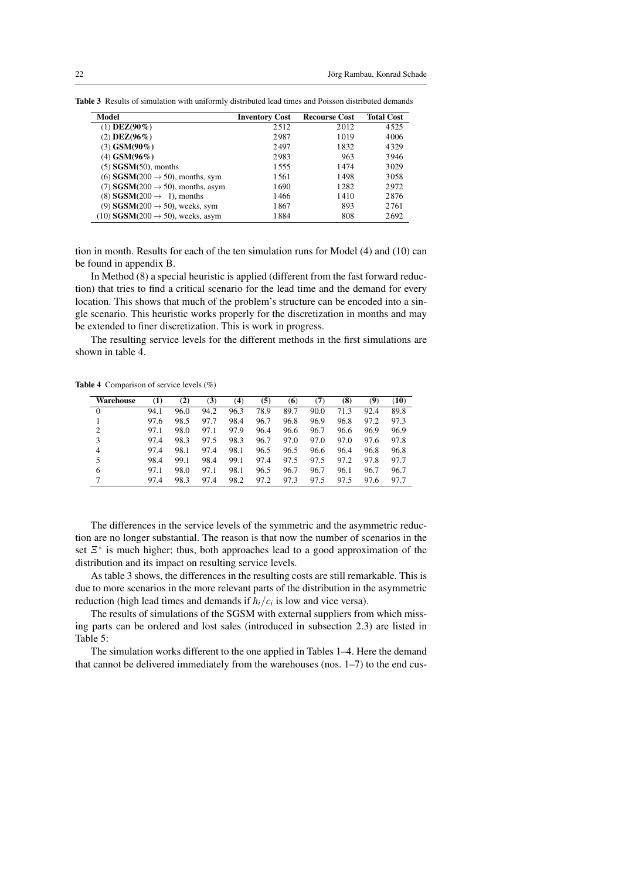| Model                                            | <b>Inventory Cost</b> | <b>Recourse Cost</b> | <b>Total Cost</b> |
|--------------------------------------------------|-----------------------|----------------------|-------------------|
| $(1)$ DEZ $(90\%)$                               | 2512                  | 2012                 | 4525              |
| $(2)$ DEZ $(96\%)$                               | 2987                  | 1019                 | 4006              |
| $(3)$ GSM(90%)                                   | 2497                  | 1832                 | 4329              |
| (4) $GSM(96\%)$                                  | 2983                  | 963                  | 3946              |
| $(5)$ SGSM $(50)$ , months                       | 1555                  | 1474                 | 3029              |
| (6) $SGSM(200 \rightarrow 50)$ , months, sym     | 1561                  | 1498                 | 3058              |
| (7) $SGSM(200 \rightarrow 50)$ , months, asym    | 1690                  | 1282                 | 2972              |
| (8) $SGSM(200 \rightarrow 1)$ , months           | 1466                  | 1410                 | 2876              |
| (9) $SGSM(200 \rightarrow 50)$ , weeks, sym      | 1867                  | 893                  | 2761              |
| $(10)$ SGSM $(200 \rightarrow 50)$ , weeks, asym | 1884                  | 808                  | 2692              |

Table 3 Results of simulation with uniformly distributed lead times and Poisson distributed demands

tion in month. Results for each of the ten simulation runs for Model (4) and (10) can be found in appendix B.

In Method (8) a special heuristic is applied (different from the fast forward reduction) that tries to find a critical scenario for the lead time and the demand for every location. This shows that much of the problem's structure can be encoded into a single scenario. This heuristic works properly for the discretization in months and may be extended to finer discretization. This is work in progress.

The resulting service levels for the different methods in the first simulations are shown in table 4.

Table 4 Comparison of service levels (%)

| Warehouse | $\left(1\right)$ | (2)  | (3)  | (4)  | (5)  | (6)  | (7)  | (8)  | (9)  | (10) |
|-----------|------------------|------|------|------|------|------|------|------|------|------|
| 0         | 94.1             | 96.0 | 94.2 | 96.3 | 78.9 | 89.7 | 90.0 | 71.3 | 92.4 | 89.8 |
|           | 97.6             | 98.5 | 97.7 | 98.4 | 96.7 | 96.8 | 96.9 | 96.8 | 97.2 | 97.3 |
| 2         | 97.1             | 98.0 | 97.1 | 97.9 | 96.4 | 96.6 | 96.7 | 96.6 | 96.9 | 96.9 |
| 3         | 97.4             | 98.3 | 97.5 | 98.3 | 96.7 | 97.0 | 97.0 | 97.0 | 97.6 | 97.8 |
| 4         | 97.4             | 98.1 | 97.4 | 98.1 | 96.5 | 96.5 | 96.6 | 96.4 | 96.8 | 96.8 |
| 5         | 98.4             | 99.1 | 98.4 | 99.1 | 97.4 | 97.5 | 97.5 | 97.2 | 97.8 | 97.7 |
| 6         | 97.1             | 98.0 | 97.1 | 98.1 | 96.5 | 96.7 | 96.7 | 96.1 | 96.7 | 96.7 |
|           | 97.4             | 98.3 | 97.4 | 98.2 | 97.2 | 97.3 | 97.5 | 97.5 | 97.6 | 97.7 |

The differences in the service levels of the symmetric and the asymmetric reduction are no longer substantial. The reason is that now the number of scenarios in the set  $\mathbb{E}^*$  is much higher; thus, both approaches lead to a good approximation of the distribution and its impact on resulting service levels.

As table 3 shows, the differences in the resulting costs are still remarkable. This is due to more scenarios in the more relevant parts of the distribution in the asymmetric reduction (high lead times and demands if  $h_i/c_i$  is low and vice versa).

The results of simulations of the SGSM with external suppliers from which missing parts can be ordered and lost sales (introduced in subsection 2.3) are listed in Table 5:

The simulation works different to the one applied in Tables 1–4. Here the demand that cannot be delivered immediately from the warehouses (nos. 1–7) to the end cus-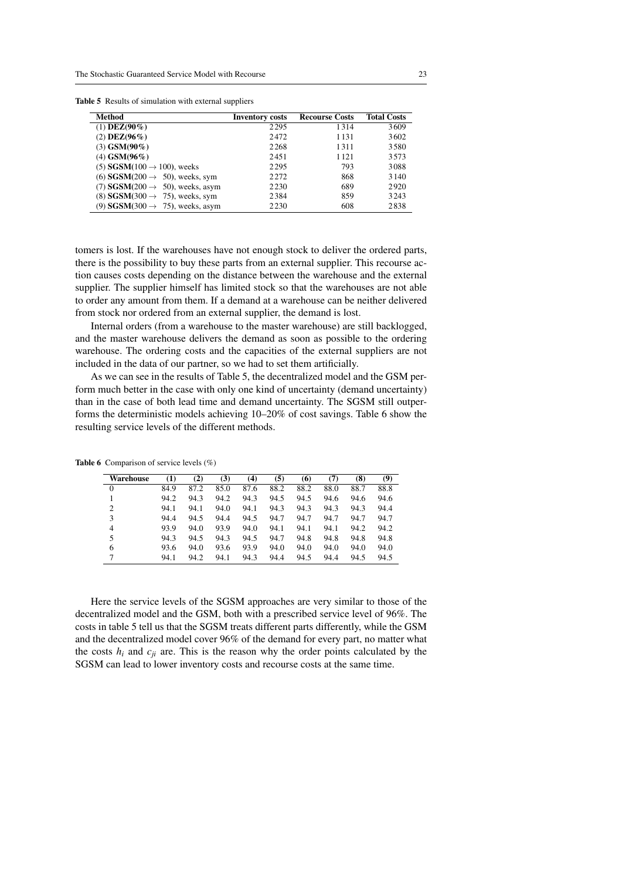| <b>Table 5</b> Results of simulation with external suppliers |  |  |  |
|--------------------------------------------------------------|--|--|--|
|--------------------------------------------------------------|--|--|--|

| Method                                              | <b>Inventory costs</b> | <b>Recourse Costs</b> | <b>Total Costs</b> |
|-----------------------------------------------------|------------------------|-----------------------|--------------------|
| $(1)$ DEZ $(90\%)$                                  | 2295                   | 1314                  | 3609               |
| $(2)$ DEZ $(96\%)$                                  | 2472                   | 1131                  | 3602               |
| $(3)$ GSM $(90\%)$                                  | 2268                   | 1311                  | 3580               |
| $(4)$ GSM $(96\%)$                                  | 2451                   | 1121                  | 3573               |
| (5) SGSM(100 $\rightarrow$ 100), weeks              | 2295                   | 793                   | 3088               |
| (6) <b>SGSM</b> (200 $\rightarrow$ 50), weeks, sym  | 2272                   | 868                   | 3 1 4 0            |
| (7) <b>SGSM</b> (200 $\rightarrow$ 50), weeks, asym | 2230                   | 689                   | 2920               |
| (8) $SGSM(300 \rightarrow 75)$ , weeks, sym         | 2384                   | 859                   | 3243               |
| (9) <b>SGSM</b> (300 $\rightarrow$ 75), weeks, asym | 2230                   | 608                   | 2838               |

tomers is lost. If the warehouses have not enough stock to deliver the ordered parts, there is the possibility to buy these parts from an external supplier. This recourse action causes costs depending on the distance between the warehouse and the external supplier. The supplier himself has limited stock so that the warehouses are not able to order any amount from them. If a demand at a warehouse can be neither delivered from stock nor ordered from an external supplier, the demand is lost.

Internal orders (from a warehouse to the master warehouse) are still backlogged, and the master warehouse delivers the demand as soon as possible to the ordering warehouse. The ordering costs and the capacities of the external suppliers are not included in the data of our partner, so we had to set them artificially.

As we can see in the results of Table 5, the decentralized model and the GSM perform much better in the case with only one kind of uncertainty (demand uncertainty) than in the case of both lead time and demand uncertainty. The SGSM still outperforms the deterministic models achieving 10–20% of cost savings. Table 6 show the resulting service levels of the different methods.

| Warehouse      | (1)  | (2)  | (3)  | $\left( 4\right)$ | (5)  | (6)  | (7)  | (8)  | (9)  |
|----------------|------|------|------|-------------------|------|------|------|------|------|
| $\overline{0}$ | 84.9 | 87.2 | 85.0 | 87.6              | 88.2 | 88.2 | 88.0 | 88.7 | 88.8 |
|                | 94.2 | 94.3 | 94.2 | 94.3              | 94.5 | 94.5 | 94.6 | 94.6 | 94.6 |
| 2              | 94.1 | 94.1 | 94.0 | 94.1              | 94.3 | 94.3 | 94.3 | 94.3 | 94.4 |
| 3              | 94.4 | 94.5 | 94.4 | 94.5              | 94.7 | 94.7 | 94.7 | 94.7 | 94.7 |
| 4              | 93.9 | 94.0 | 93.9 | 94.0              | 94.1 | 94.1 | 94.1 | 94.2 | 94.2 |
| 5              | 94.3 | 94.5 | 94.3 | 94.5              | 94.7 | 94.8 | 94.8 | 94.8 | 94.8 |
| 6              | 93.6 | 94.0 | 93.6 | 93.9              | 94.0 | 94.0 | 94.0 | 94.0 | 94.0 |
| 7              | 94.1 | 94.2 | 94.1 | 94.3              | 94.4 | 94.5 | 94.4 | 94.5 | 94.5 |

Table 6 Comparison of service levels (%)

Here the service levels of the SGSM approaches are very similar to those of the decentralized model and the GSM, both with a prescribed service level of 96%. The costs in table 5 tell us that the SGSM treats different parts differently, while the GSM and the decentralized model cover 96% of the demand for every part, no matter what the costs  $h_i$  and  $c_{ji}$  are. This is the reason why the order points calculated by the SGSM can lead to lower inventory costs and recourse costs at the same time.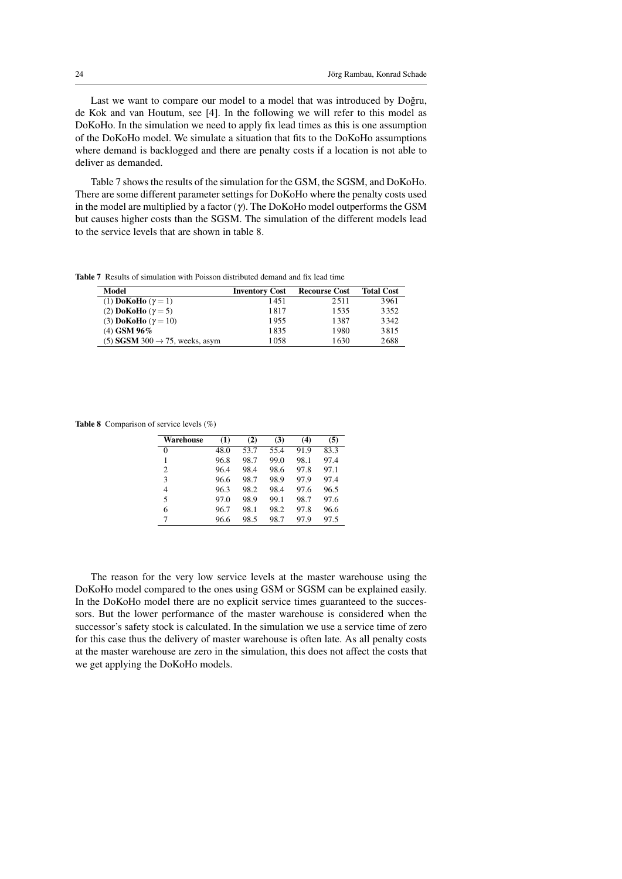Last we want to compare our model to a model that was introduced by Doğru, de Kok and van Houtum, see [4]. In the following we will refer to this model as DoKoHo. In the simulation we need to apply fix lead times as this is one assumption of the DoKoHo model. We simulate a situation that fits to the DoKoHo assumptions where demand is backlogged and there are penalty costs if a location is not able to deliver as demanded.

Table 7 shows the results of the simulation for the GSM, the SGSM, and DoKoHo. There are some different parameter settings for DoKoHo where the penalty costs used in the model are multiplied by a factor  $(\gamma)$ . The DoKoHo model outperforms the GSM but causes higher costs than the SGSM. The simulation of the different models lead to the service levels that are shown in table 8.

Table 7 Results of simulation with Poisson distributed demand and fix lead time

| Model                                      | <b>Inventory Cost</b> | <b>Recourse Cost</b> | <b>Total Cost</b> |
|--------------------------------------------|-----------------------|----------------------|-------------------|
| (1) DoKoHo $(\gamma = 1)$                  | 1451                  | 2.511                | 3961              |
| (2) DoKoHo $(\gamma = 5)$                  | 1817                  | 1.535                | 3352              |
| (3) DoKoHo $(\gamma = 10)$                 | 1955                  | 1387                 | 3342              |
| $(4)$ GSM 96%                              | 1835                  | 1980                 | 3815              |
| (5) SGSM 300 $\rightarrow$ 75, weeks, asym | 1058                  | 1630                 | 2688              |

Table 8 Comparison of service levels (%)

| Warehouse      | (1)  | (2)  | (3)  | (4)  | (5)  |
|----------------|------|------|------|------|------|
| 0              | 48.0 | 53.7 | 55.4 | 91.9 | 83.3 |
|                | 96.8 | 98.7 | 99.0 | 98.1 | 97.4 |
| $\overline{c}$ | 96.4 | 98.4 | 98.6 | 97.8 | 97.1 |
| 3              | 96.6 | 98.7 | 98.9 | 97.9 | 97.4 |
| 4              | 96.3 | 98.2 | 98.4 | 97.6 | 96.5 |
| 5              | 97.0 | 98.9 | 99.1 | 98.7 | 97.6 |
| 6              | 96.7 | 98.1 | 98.2 | 97.8 | 96.6 |
| 7              | 96.6 | 98.5 | 98.7 | 97.9 | 97.5 |

The reason for the very low service levels at the master warehouse using the DoKoHo model compared to the ones using GSM or SGSM can be explained easily. In the DoKoHo model there are no explicit service times guaranteed to the successors. But the lower performance of the master warehouse is considered when the successor's safety stock is calculated. In the simulation we use a service time of zero for this case thus the delivery of master warehouse is often late. As all penalty costs at the master warehouse are zero in the simulation, this does not affect the costs that we get applying the DoKoHo models.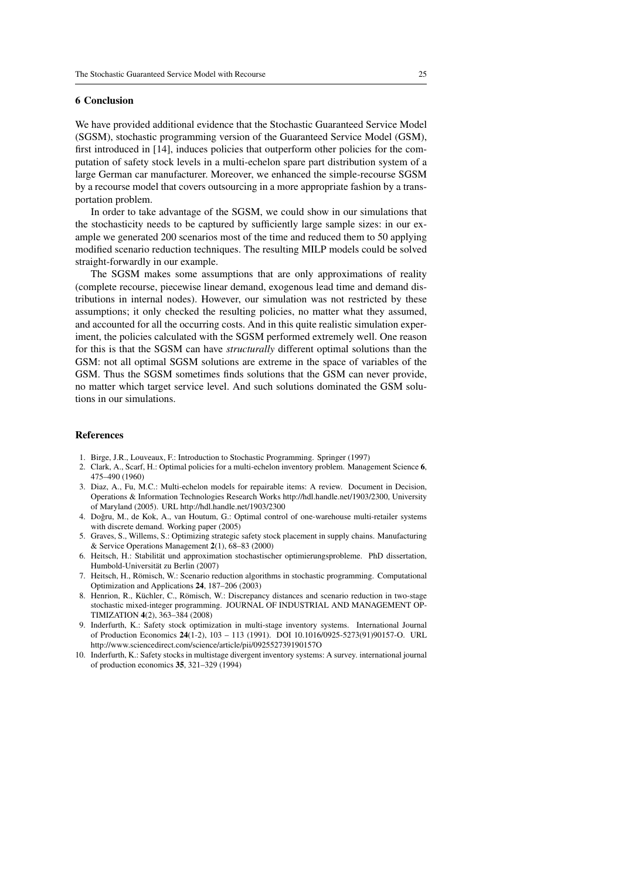#### 6 Conclusion

We have provided additional evidence that the Stochastic Guaranteed Service Model (SGSM), stochastic programming version of the Guaranteed Service Model (GSM), first introduced in [14], induces policies that outperform other policies for the computation of safety stock levels in a multi-echelon spare part distribution system of a large German car manufacturer. Moreover, we enhanced the simple-recourse SGSM by a recourse model that covers outsourcing in a more appropriate fashion by a transportation problem.

In order to take advantage of the SGSM, we could show in our simulations that the stochasticity needs to be captured by sufficiently large sample sizes: in our example we generated 200 scenarios most of the time and reduced them to 50 applying modified scenario reduction techniques. The resulting MILP models could be solved straight-forwardly in our example.

The SGSM makes some assumptions that are only approximations of reality (complete recourse, piecewise linear demand, exogenous lead time and demand distributions in internal nodes). However, our simulation was not restricted by these assumptions; it only checked the resulting policies, no matter what they assumed, and accounted for all the occurring costs. And in this quite realistic simulation experiment, the policies calculated with the SGSM performed extremely well. One reason for this is that the SGSM can have *structurally* different optimal solutions than the GSM: not all optimal SGSM solutions are extreme in the space of variables of the GSM. Thus the SGSM sometimes finds solutions that the GSM can never provide, no matter which target service level. And such solutions dominated the GSM solutions in our simulations.

#### **References**

- 1. Birge, J.R., Louveaux, F.: Introduction to Stochastic Programming. Springer (1997)
- 2. Clark, A., Scarf, H.: Optimal policies for a multi-echelon inventory problem. Management Science 6, 475–490 (1960)
- 3. Diaz, A., Fu, M.C.: Multi-echelon models for repairable items: A review. Document in Decision, Operations & Information Technologies Research Works http://hdl.handle.net/1903/2300, University of Maryland (2005). URL http://hdl.handle.net/1903/2300
- 4. Doğru, M., de Kok, A., van Houtum, G.: Optimal control of one-warehouse multi-retailer systems with discrete demand. Working paper (2005)
- 5. Graves, S., Willems, S.: Optimizing strategic safety stock placement in supply chains. Manufacturing & Service Operations Management 2(1), 68–83 (2000)
- 6. Heitsch, H.: Stabilitat und approximation stochastischer optimierungsprobleme. PhD dissertation, ¨ Humbold-Universitat zu Berlin (2007) ¨
- 7. Heitsch, H., Römisch, W.: Scenario reduction algorithms in stochastic programming. Computational Optimization and Applications 24, 187–206 (2003)
- 8. Henrion, R., Küchler, C., Römisch, W.: Discrepancy distances and scenario reduction in two-stage stochastic mixed-integer programming. JOURNAL OF INDUSTRIAL AND MANAGEMENT OP-TIMIZATION 4(2), 363–384 (2008)
- 9. Inderfurth, K.: Safety stock optimization in multi-stage inventory systems. International Journal of Production Economics 24(1-2), 103 – 113 (1991). DOI 10.1016/0925-5273(91)90157-O. URL http://www.sciencedirect.com/science/article/pii/092552739190157O
- 10. Inderfurth, K.: Safety stocks in multistage divergent inventory systems: A survey. international journal of production economics 35, 321–329 (1994)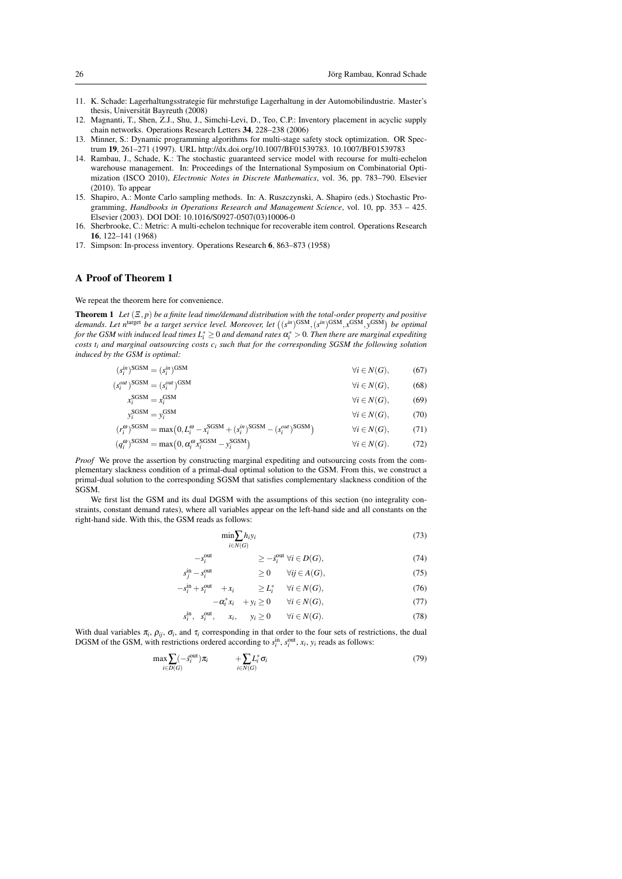- 11. K. Schade: Lagerhaltungsstrategie fur mehrstufige Lagerhaltung in der Automobilindustrie. Master's ¨ thesis, Universität Bayreuth (2008)
- 12. Magnanti, T., Shen, Z.J., Shu, J., Simchi-Levi, D., Teo, C.P.: Inventory placement in acyclic supply chain networks. Operations Research Letters 34, 228–238 (2006)
- 13. Minner, S.: Dynamic programming algorithms for multi-stage safety stock optimization. OR Spectrum 19, 261–271 (1997). URL http://dx.doi.org/10.1007/BF01539783. 10.1007/BF01539783
- 14. Rambau, J., Schade, K.: The stochastic guaranteed service model with recourse for multi-echelon warehouse management. In: Proceedings of the International Symposium on Combinatorial Optimization (ISCO 2010), *Electronic Notes in Discrete Mathematics*, vol. 36, pp. 783–790. Elsevier (2010). To appear
- 15. Shapiro, A.: Monte Carlo sampling methods. In: A. Ruszczynski, A. Shapiro (eds.) Stochastic Programming, *Handbooks in Operations Research and Management Science*, vol. 10, pp. 353 – 425. Elsevier (2003). DOI DOI: 10.1016/S0927-0507(03)10006-0
- 16. Sherbrooke, C.: Metric: A multi-echelon technique for recoverable item control. Operations Research 16, 122–141 (1968)
- 17. Simpson: In-process inventory. Operations Research 6, 863–873 (1958)

#### A Proof of Theorem 1

We repeat the theorem here for convenience.

**Theorem 1** *Let*  $(\Xi, p)$  *be a finite lead time/demand distribution with the total-order property and positive* demands. Let n<sup>target</sup> be a target service level. Moreover, let  $((s^{in})^{\text{GSM}}, (s^{in})^{\text{GSM}}, x^{\text{GSM}}, y^{\text{GSM}})$  be optimal *for the GSM with induced lead times*  $L^*_i \geq 0$  *and demand rates*  $\alpha^*_i > 0$ *. Then there are marginal expediting costs t<sup>i</sup> and marginal outsourcing costs c<sup>i</sup> such that for the corresponding SGSM the following solution induced by the GSM is optimal:*

| $(s_i^m)^{\text{SGSM}} = (s_i^m)^{\text{GSM}}$                                                                                                  | $\forall i \in N(G),$  | (67) |
|-------------------------------------------------------------------------------------------------------------------------------------------------|------------------------|------|
| $(s_i^{out})^{\text{SGSM}} = (s_i^{out})^{\text{GSM}}$                                                                                          | $\forall i \in N(G),$  | (68) |
| $x_i^{\text{SGSM}} = x_i^{\text{GSM}}$                                                                                                          | $\forall i \in N(G),$  | (69) |
| $v_i^{\text{SGSM}} = v_i^{\text{GSM}}$                                                                                                          | $\forall i \in N(G)$ , | (70) |
| $(r_i^{\omega})^{\text{SGSM}} = \max(0, L_i^{\omega} - x_i^{\text{SGSM}} + (s_i^{\text{in}})^{\text{SGSM}} - (s_i^{\text{out}})^{\text{SGSM}})$ | $\forall i \in N(G),$  | (71) |
| $(q_i^{\omega})^{\text{SGSM}} = \max(0, \alpha_i^{\omega} x_i^{\text{SGSM}} - y_i^{\text{SGSM}})$                                               | $\forall i \in N(G)$ . | (72) |

*Proof* We prove the assertion by constructing marginal expediting and outsourcing costs from the complementary slackness condition of a primal-dual optimal solution to the GSM. From this, we construct a primal-dual solution to the corresponding SGSM that satisfies complementary slackness condition of the SGSM.

We first list the GSM and its dual DGSM with the assumptions of this section (no integrality constraints, constant demand rates), where all variables appear on the left-hand side and all constants on the right-hand side. With this, the GSM reads as follows:

$$
\min_{i \in N(G)} h_i y_i \tag{73}
$$

$$
-s_i^{\text{out}} \qquad \qquad \geq -\bar{s}_i^{\text{out}} \ \forall i \in D(G), \tag{74}
$$

$$
s_j^{\text{in}} - s_i^{\text{out}} \qquad \qquad \ge 0 \qquad \forall ij \in A(G), \tag{75}
$$

$$
-s_i^{\text{in}} + s_i^{\text{out}} + x_i \qquad \geq L_i^* \quad \forall i \in N(G), \tag{76}
$$

$$
-\alpha_i^* x_i + y_i \ge 0 \qquad \forall i \in N(G), \tag{77}
$$

$$
s_i^{\text{in}}, s_i^{\text{out}}, \quad x_i, \quad y_i \ge 0 \qquad \forall i \in N(G). \tag{78}
$$

With dual variables  $\pi_i$ ,  $\rho_{ij}$ ,  $\sigma_i$ , and  $\tau_i$  corresponding in that order to the four sets of restrictions, the dual DGSM of the GSM, with restrictions ordered according to  $s_i^{\text{in}}$ ,  $s_i^{\text{out}}$ ,  $x_i$ ,  $y_i$  reads as follows:

$$
\max_{i \in D(G)} \left( -\bar{s}_i^{\text{out}} \right) \pi_i \qquad \qquad + \sum_{i \in N(G)} L_i^* \sigma_i \tag{79}
$$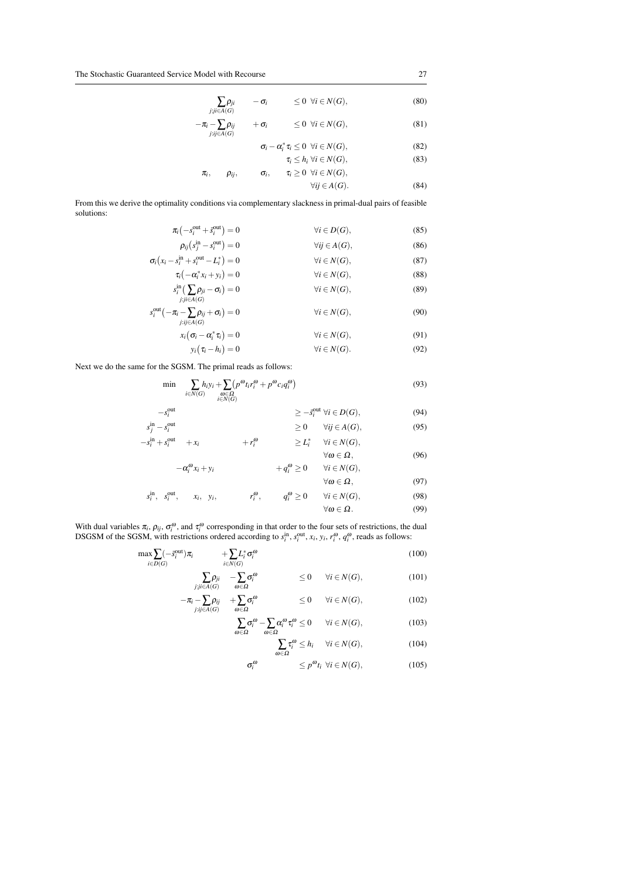$$
\sum_{j:j\in A(G)} \rho_{ji} \qquad -\sigma_i \qquad \leq 0 \ \forall i \in N(G),
$$
\n
$$
-\pi_i - \sum_{j:j\in A(G)} \rho_{ij} \qquad +\sigma_i \qquad \leq 0 \ \forall i \in N(G),
$$
\n(81)

$$
\tau_{ij} \in A(G)
$$
\n
$$
\sigma_i - \alpha_i^* \tau_i \leq 0 \quad \forall i \in N(G),
$$
\n
$$
\tau_i \leq h_i \quad \forall i \in N(G),
$$
\n
$$
\tau_i, \qquad \rho_{ij}, \qquad \sigma_i, \qquad \tau_i \geq 0 \quad \forall i \in N(G),
$$
\n(83)

$$
\rho_{ij}, \qquad \sigma_i, \qquad \tau_i \geq 0 \quad \forall i \in N(G),
$$
  
 
$$
\forall ij \in A(G).
$$
 (84)

From this we derive the optimality conditions via complementary slackness in primal-dual pairs of feasible solutions:

$$
\pi_{i}\left(-s_{i}^{\text{out}}+\bar{s}_{i}^{\text{out}}\right)=0 \qquad \forall i \in D(G), \qquad (85)
$$
\n
$$
\rho_{ij}\left(s_{j}^{\text{in}}-s_{i}^{\text{out}}\right)=0 \qquad \forall j \in A(G), \qquad (86)
$$
\n
$$
\sigma_{i}\left(x_{i}-s_{i}^{\text{in}}+s_{i}^{\text{out}}-L_{i}^{*}\right)=0 \qquad \forall i \in N(G), \qquad (87)
$$
\n
$$
\tau_{i}\left(-\alpha_{i}^{*}x_{i}+y_{i}\right)=0 \qquad \forall i \in N(G), \qquad (88)
$$
\n
$$
s_{i}^{\text{in}}\left(\sum_{j:j \in A(G)} \rho_{ji}-\sigma_{i}\right)=0 \qquad \forall i \in N(G), \qquad (89)
$$
\n
$$
s_{i}^{\text{out}}\left(-\pi_{i}-\sum_{j:j \in A(G)} \rho_{ij}+\sigma_{i}\right)=0 \qquad \forall i \in N(G), \qquad (90)
$$
\n
$$
x_{i}\left(\sigma_{i}-\alpha_{i}^{*}\tau_{i}\right)=0 \qquad \forall i \in N(G), \qquad (91)
$$

$$
y_i(\tau_i - h_i) = 0 \qquad \qquad \forall i \in N(G). \tag{92}
$$

Next we do the same for the SGSM. The primal reads as follows:

$$
\min \quad \sum_{i \in N(G)} h_i y_i + \sum_{\substack{\omega \in \Omega \\ i \in N(G)}} \left( p^{\omega} t_i r_i^{\omega} + p^{\omega} c_i q_i^{\omega} \right) \tag{93}
$$

$$
-s_i^{\text{out}} \ge -\bar{s}_i^{\text{out}} \forall i \in D(G), \tag{94}
$$
  
\n
$$
s_j^{\text{in}} - s_i^{\text{out}} \ge 0 \quad \forall ij \in A(G), \tag{95}
$$

$$
-s_i^{\text{in}} + s_i^{\text{out}} + x_i + r_i^{\omega} \ge L_i^* \quad \forall i \in N(G),
$$
  

$$
\forall \omega \in \Omega, \tag{96}
$$

$$
-\alpha_i^{\omega} x_i + y_i \qquad \qquad + q_i^{\omega} \geq 0 \qquad \forall i \in N(G),
$$

$$
\forall \omega \in \Omega, \qquad \forall i, \quad s_i^{\text{out}}, \qquad x_i, \quad y_i, \qquad r_i^{\omega}, \qquad q_i^{\omega} \ge 0 \qquad \forall i \in N(G), \qquad \qquad (98)
$$
\n
$$
\forall \omega \in \Omega. \qquad (99)
$$

With dual variables 
$$
\pi_i
$$
,  $\rho_{ij}$ ,  $\sigma_i^{\omega}$ , and  $\tau_i^{\omega}$  corresponding in that order to the four sets of restrictions, the dual  
DSGSM of the SGSM, with restrictions ordered according to  $s_i^{\text{in}}$ ,  $s_i^{\text{out}}$ ,  $x_i$ ,  $y_i$ ,  $r_i^{\omega}$ ,  $q_i^{\omega}$ , reads as follows:

$$
\max \sum_{i \in D(G)} (-\vec{s}_i^{\text{out}}) \pi_i + \sum_{i \in N(G)} L_i^* \sigma_i^{\omega}
$$
\n(100)

$$
\sum_{j:j\in A(G)} \rho_{ji} \quad -\sum_{\omega \in \Omega} \sigma_i^{\omega} \qquad \qquad \leq 0 \qquad \forall i \in N(G), \tag{101}
$$

$$
-\pi_i - \sum_{j:ij \in A(G)} \rho_{ij} + \sum_{\omega \in \Omega} \sigma_i^{\omega} \le 0 \quad \forall i \in N(G), \tag{102}
$$

$$
\sum_{\omega \in \Omega} \sigma_i^{\omega} - \sum_{\omega \in \Omega} \alpha_i^{\omega} \tau_i^{\omega} \le 0 \qquad \forall i \in N(G), \tag{103}
$$

$$
\sum_{\omega \in \Omega} \tau_i^{\omega} \le h_i \quad \forall i \in N(G), \tag{104}
$$

$$
\sigma_i^{\omega} \qquad \qquad \leq p^{\omega} t_i \ \forall i \in N(G), \tag{105}
$$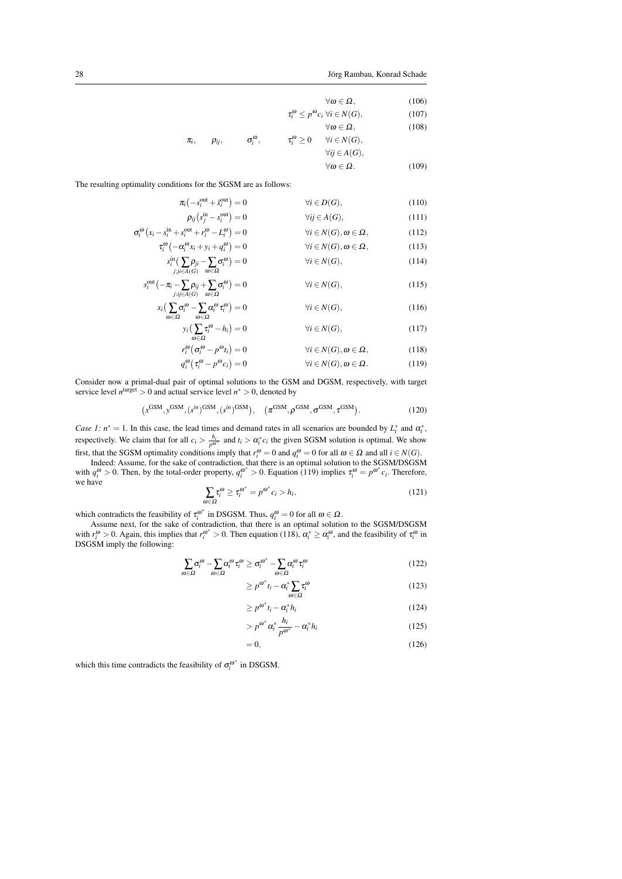$$
\forall \omega \in \Omega, \qquad (106)
$$
  
\n
$$
\tau_i^{\omega} \le p^{\omega} c_i \forall i \in N(G), \qquad (107)
$$
  
\n
$$
\forall \omega \in \Omega, \qquad (108)
$$
  
\n
$$
\pi_i, \qquad \rho_{ij}, \qquad \sigma_i^{\omega}, \qquad \tau_i^{\omega} \ge 0 \qquad \forall i \in N(G),
$$
  
\n
$$
\forall i \in A(G), \qquad \forall \omega \in \Omega. \qquad (109)
$$

The resulting optimality conditions for the SGSM are as follows:

*r*

*s*

$$
\pi_i(-s_i^{\text{out}} + \bar{s}_i^{\text{out}}) = 0 \qquad \forall i \in D(G), \qquad (110)
$$
\n
$$
\rho_{ij}(s_j^{\text{in}} - s_i^{\text{out}}) = 0 \qquad \forall j \in A(G), \qquad (111)
$$
\n
$$
\sigma_i^{\omega}(x_i - s_i^{\text{in}} + s_i^{\text{out}} + r_i^{\omega} - L_i^{\omega}) = 0 \qquad \forall i \in N(G), \omega \in \Omega, \qquad (112)
$$
\n
$$
\pi^{\omega}(-\alpha^{\omega}x_i + x_i^{\omega} - L_i^{\omega}) = 0 \qquad \forall i \in N(G), \omega \in \Omega, \qquad (113)
$$

$$
\tau_i^{\omega}(-\alpha_i^{\omega} x_i + y_i + q_i^{\omega}) = 0 \qquad \forall i \in N(G), \omega \in \Omega, \qquad (113)
$$
  

$$
s_i^{\text{in}}(\sum_{j:j \in A(G)} \rho_{ji} - \sum_{j \in \Omega} \sigma_i^{\omega}) = 0 \qquad \forall i \in N(G), \qquad (114)
$$

$$
\begin{aligned}\n\int_{i}^{\text{out}} \left( -\pi_{i} - \sum_{j:j \in A(G)} \rho_{ij} + \sum_{\omega \in \Omega} \sigma_{i}^{\omega} \right) &= 0 & \forall i \in N(G), \\
x_{i} \left( \sum_{j} \sigma_{i}^{\omega} - \sum_{j} \alpha_{i}^{\omega} \tau_{i}^{\omega} \right) &= 0 & \forall i \in N(G),\n\end{aligned} \tag{115}
$$

$$
\overline{\omega \in \Omega} \qquad \overline{\omega \in \Omega} \qquad \overline{\omega \in \Omega} \qquad \overline{\chi}_i^{\omega} - h_i) = 0 \qquad \forall i \in N(G), \tag{117}
$$

$$
r_i^{\omega} \left( \sigma_i^{\omega} - p^{\omega} t_i \right) = 0 \qquad \forall i \in N(G), \omega \in \Omega, \tag{118}
$$
  

$$
q_i^{\omega} \left( \tau_i^{\omega} - p^{\omega} c_i \right) = 0 \qquad \forall i \in N(G), \omega \in \Omega. \tag{119}
$$

Consider now a primal-dual pair of optimal solutions to the GSM and DGSM, respectively, with target service level  $n^{\text{target}} > 0$  and actual service level  $n^* > 0$ , denoted by

$$
(x^{\text{GSM}}, y^{\text{GSM}}, (s^{in})^{\text{GSM}}, (s^{in})^{\text{GSM}}), \quad (\pi^{\text{GSM}}, \rho^{\text{GSM}}, \sigma^{\text{GSM}}, \tau^{\text{GSM}}). \tag{120}
$$

*Case 1:*  $n^* = 1$ . In this case, the lead times and demand rates in all scenarios are bounded by  $L_i^*$  and  $\alpha_i^*$ , respectively. We claim that for all  $c_i > \frac{h_i}{p^{ω^*}}$  and  $t_i > \alpha_i^* c_i$  the given SGSM solution is optimal. We show first, that the SGSM optimality conditions imply that  $r_i^{\omega} = 0$  and  $q_i^{\omega} = 0$  for all  $\omega \in \Omega$  and all  $i \in N(G)$ .

Indeed: Assume, for the sake of contradiction, that there is an optimal solution to the SGSM/DSGSM with  $q_i^{\omega} > 0$ . Then, by the total-order property,  $q_i^{\omega^*} > 0$ . Equation (119) implies  $\tau_i^{\omega} = p^{\omega^*} c_i$ . Therefore, we have

$$
\sum_{\omega \in \Omega} \tau_i^{\omega} \ge \tau_i^{\omega^*} = p^{\omega^*} c_i > h_i,
$$
\n(121)

which contradicts the feasibility of  $\tau_i^{\omega^*}$  in DSGSM. Thus,  $q_i^{\omega} = 0$  for all  $\omega \in \Omega$ .

Assume next, for the sake of contradiction, that there is an optimal solution to the SGSM/DSGSM with  $r_i^{\omega} > 0$ . Again, this implies that  $r_i^{\omega^*} > 0$ . Then equation (118),  $\alpha_i^* \ge \alpha_i^{\omega}$ , and the feasibility of  $\tau_i^{\omega}$  in DSGSM imply the following:

$$
\sum_{\omega \in \Omega} \sigma_i^{\omega} - \sum_{\omega \in \Omega} \alpha_i^{\omega} \tau_i^{\omega} \ge \sigma_i^{\omega^*} - \sum_{\omega \in \Omega} \alpha_i^{\omega} \tau_i^{\omega} \tag{122}
$$

$$
\geq p^{\omega^*} t_i - \alpha_i^* \sum_{\omega \in \Omega} \tau_i^{\omega} \tag{123}
$$

$$
\geq p^{\omega^*} t_i - \alpha_i^* h_i \tag{124}
$$

$$
> p^{\omega^*} \alpha_i^* \frac{h_i}{p^{\omega^*}} - \alpha_i^* h_i
$$
\n(125)

$$
=0,\t(126)
$$

which this time contradicts the feasibility of  $\sigma_i^{\omega^*}$  in DSGSM.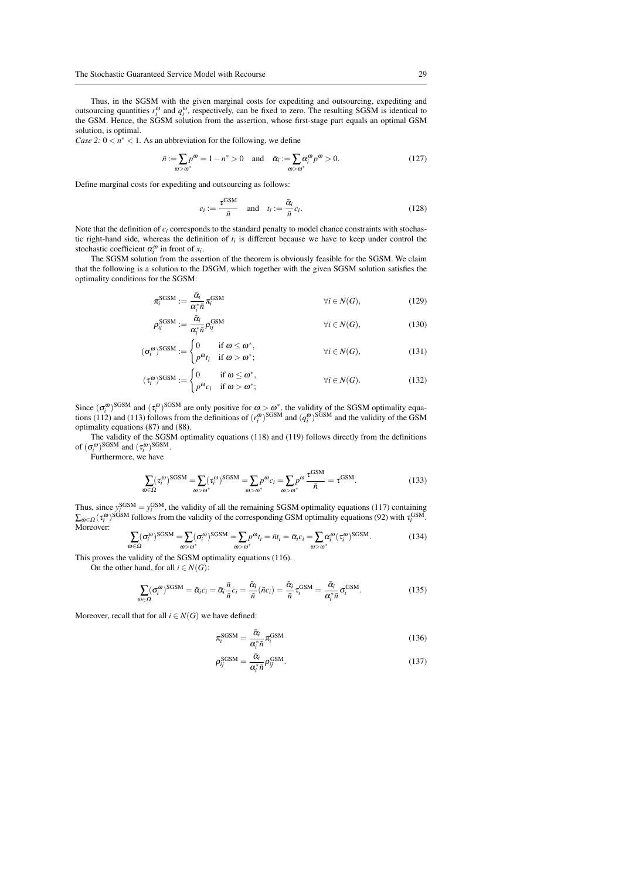Thus, in the SGSM with the given marginal costs for expediting and outsourcing, expediting and outsourcing quantities  $r_i^{\omega}$  and  $q_i^{\omega}$ , respectively, can be fixed to zero. The resulting SGSM is identical to the GSM. Hence, the SGSM solution from the assertion, whose first-stage part equals an optimal GSM solution, is optimal.

*Case 2:*  $0 < n^* < 1$ . As an abbreviation for the following, we define

$$
\bar{n} := \sum_{\omega > \omega^*} p^{\omega} = 1 - n^* > 0 \quad \text{and} \quad \bar{\alpha}_i := \sum_{\omega > \omega^*} \alpha_i^{\omega} p^{\omega} > 0. \tag{127}
$$

Define marginal costs for expediting and outsourcing as follows:

$$
c_i := \frac{\tau^{\text{GSM}}}{\bar{n}} \quad \text{and} \quad t_i := \frac{\bar{\alpha}_i}{\bar{n}} c_i. \tag{128}
$$

Note that the definition of  $c_i$  corresponds to the standard penalty to model chance constraints with stochastic right-hand side, whereas the definition of  $t_i$  is different because we have to keep under control the stochastic coefficient  $\alpha_i^{\omega}$  in front of  $x_i$ .

The SGSM solution from the assertion of the theorem is obviously feasible for the SGSM. We claim that the following is a solution to the DSGM, which together with the given SGSM solution satisfies the optimality conditions for the SGSM:

$$
\pi_i^{\text{SGSM}} := \frac{\bar{\alpha}_i}{\alpha_i^* \bar{n}} \pi_i^{\text{GSM}} \qquad \qquad \forall i \in N(G), \qquad (129)
$$

$$
\rho_{ij}^{\text{SGSM}} := \frac{\bar{\alpha}_i}{\alpha_i^* \bar{n}} \rho_{ij}^{\text{GSM}} \qquad \forall i \in N(G), \qquad (130)
$$

$$
(\sigma_i^{\omega})^{\text{SGSM}} := \begin{cases} 0 & \text{if } \omega \leq \omega^*, \\ p^{\omega} t_i & \text{if } \omega > \omega^*; \end{cases} \qquad \forall i \in N(G), \qquad (131)
$$

$$
(\tau_i^{\omega})^{\text{SGSM}} := \begin{cases} 0 & \text{if } \omega \leq \omega^*, \\ p^{\omega}c_i & \text{if } \omega > \omega^*; \end{cases} \qquad \forall i \in N(G). \tag{132}
$$

Since  $(\sigma_i^{\omega})^{\text{SGSM}}$  and  $(\tau_i^{\omega})^{\text{SGSM}}$  are only positive for  $\omega > \omega^*$ , the validity of the SGSM optimality equasince  $(v_i)$  and  $(v_i)$  are only positive for  $\omega > \omega$ , the validity of the SOSM optimally equations (112) and (113) follows from the definitions of  $(r_i^{\omega})^{\text{SGSM}}$  and  $(q_i^{\omega})^{\text{SGSM}}$  and the validity of the GSM optimality equations (87) and (88).

The validity of the SGSM optimality equations (118) and (119) follows directly from the definitions of  $(\sigma_i^{\omega})^{\text{SGSM}}$  and  $(\tau_i^{\omega})^{\text{SGSM}}$ .

Furthermore, we have

$$
\sum_{\omega \in \Omega} (\tau_i^{\omega})^{\text{SGSM}} = \sum_{\omega > \omega^*} (\tau_i^{\omega})^{\text{SGSM}} = \sum_{\omega > \omega^*} p^{\omega} c_i = \sum_{\omega > \omega^*} p^{\omega} \frac{\tau^{\text{GSM}}}{\bar{n}} = \tau^{\text{GSM}}.
$$
 (133)

Thus, since  $y_i^{\text{GSM}} = y_i^{\text{GSM}}$ , the validity of all the remaining SGSM optimality equations (117) containing  $\sum_{\omega \in \Omega} (\tau_i^{\omega})^{\text{SGSM}}$  follows from the validity of the corresponding GSM optimality equations (92) with  $\tau_i^{\text{GSM}}$ . Moreover:

$$
\sum_{\omega \in \Omega} (\sigma_i^{\omega})^{\text{SGSM}} = \sum_{\omega > \omega^*} (\sigma_i^{\omega})^{\text{SGSM}} = \sum_{\omega > \omega^*} p^{\omega} t_i = \bar{n} t_i = \bar{\alpha}_i c_i = \sum_{\omega > \omega^*} \alpha_i^{\omega} (\tau_i^{\omega})^{\text{SGSM}}.
$$
 (134)

This proves the validity of the SGSM optimality equations (116).

On the other hand, for all  $i \in N(G)$ :

$$
\sum_{\omega \in \Omega} (\sigma_i^{\omega})^{\text{SGSM}} = \bar{\alpha}_i c_i = \bar{\alpha}_i \frac{\bar{n}}{\bar{n}} c_i = \frac{\bar{\alpha}_i}{\bar{n}} (\bar{n} c_i) = \frac{\bar{\alpha}_i}{\bar{n}} \tau_i^{\text{GSM}} = \frac{\bar{\alpha}_i}{\alpha_i^* \bar{n}} \sigma_i^{\text{GSM}}.
$$
(135)

Moreover, recall that for all  $i \in N(G)$  we have defined:

$$
\pi_i^{\text{SGSM}} = \frac{\bar{\alpha}_i}{\alpha_i^* \bar{n}} \pi_i^{\text{GSM}} \tag{136}
$$

$$
\rho_{ij}^{\text{SGSM}} = \frac{\bar{\alpha}_i}{\alpha_i^* \bar{n}} \rho_{ij}^{\text{GSM}}.
$$
\n(137)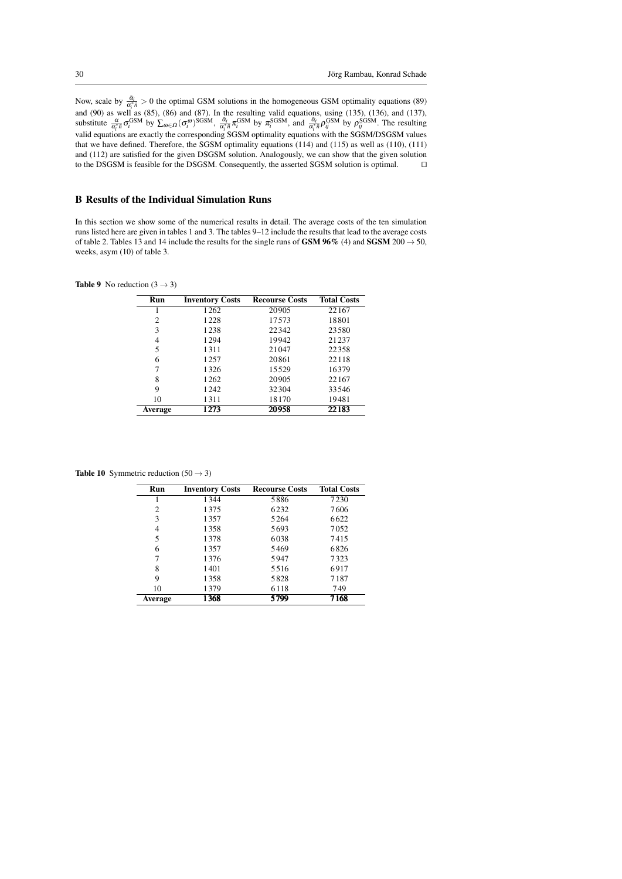Now, scale by  $\frac{\tilde{a}_i}{\alpha_i^* \tilde{n}} > 0$  the optimal GSM solutions in the homogeneous GSM optimality equations (89) and (90) as well as (85), (86) and (87). In the resulting valid equations, using (135), (136), and (137), substitute  $\frac{\alpha}{\alpha_i^* \bar{n}} \sigma_i^{\text{GSM}}$  by  $\sum_{\omega \in \Omega} (\sigma_i^{\omega})^{\text{SGSM}}$ ,  $\frac{\bar{\alpha}_i}{\alpha_i^* \bar{n}} \pi_i^{\text{GSM}}$  by  $\pi_i^{\text{SGSM}}$ , and  $\frac{\bar{\alpha}_i}{\alpha_i^* \bar{n}} \rho_{ij}^{\text{GSM}}$  by  $\rho_{ij}^{\text{SGSM}}$ . The resulting valid equations are exactly the corresponding SGSM optimality equations with the SGSM/DSGSM values that we have defined. Therefore, the SGSM optimality equations (114) and (115) as well as (110), (111) and (112) are satisfied for the given DSGSM solution. Analogously, we can show that the given solution to the DSGSM is feasible for the DSGSM. Consequently, the asserted SGSM solution is optimal.  $\square$ 

# B Results of the Individual Simulation Runs

In this section we show some of the numerical results in detail. The average costs of the ten simulation runs listed here are given in tables 1 and 3. The tables 9–12 include the results that lead to the average costs of table 2. Tables 13 and 14 include the results for the single runs of GSM 96% (4) and SGSM 200  $\rightarrow$  50, weeks, asym (10) of table 3.

**Table 9** No reduction  $(3 \rightarrow 3)$ 

| <b>Run</b> | <b>Inventory Costs</b> | <b>Recourse Costs</b> | <b>Total Costs</b> |
|------------|------------------------|-----------------------|--------------------|
|            | 1262                   | 20905                 | 22167              |
| 2          | 1228                   | 17573                 | 18801              |
| 3          | 1238                   | 22342                 | 23580              |
| 4          | 1294                   | 19942                 | 21237              |
| 5          | 1311                   | 21047                 | 22358              |
| 6          | 1257                   | 20861                 | 22118              |
|            | 1326                   | 15529                 | 16379              |
| 8          | 1262                   | 20905                 | 22167              |
| 9          | 1242                   | 32304                 | 33546              |
| 10         | 1311                   | 18170                 | 19481              |
| Average    | 1273                   | 20958                 | 22183              |

**Table 10** Symmetric reduction  $(50 \rightarrow 3)$ 

| Run     | <b>Inventory Costs</b> | <b>Recourse Costs</b> | <b>Total Costs</b> |
|---------|------------------------|-----------------------|--------------------|
|         | 1344                   | 5886                  | 7230               |
| 2       | 1375                   | 6232                  | 7606               |
| 3       | 1357                   | 5264                  | 6622               |
| 4       | 1358                   | 5693                  | 7052               |
| 5       | 1378                   | 6038                  | 7415               |
| 6       | 1357                   | 5469                  | 6826               |
| 7       | 1376                   | 5947                  | 7323               |
| 8       | 1401                   | 5516                  | 6917               |
| 9       | 1358                   | 5828                  | 7187               |
| 10      | 1379                   | 6118                  | 749                |
| Average | 1368                   | 5799                  | 7168               |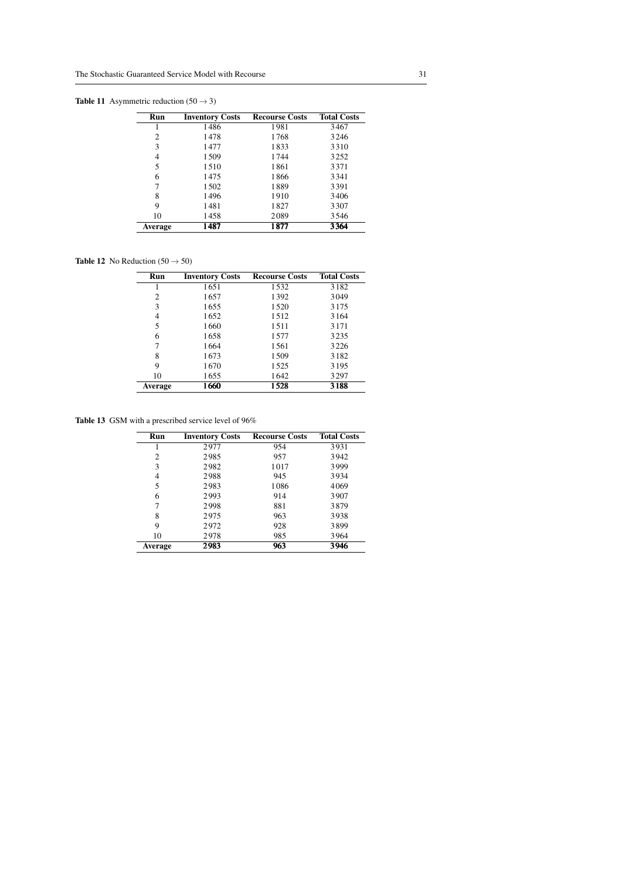# **Table 11** Asymmetric reduction  $(50 \rightarrow 3)$

| Run     | <b>Inventory Costs</b> | <b>Recourse Costs</b> | <b>Total Costs</b> |
|---------|------------------------|-----------------------|--------------------|
|         | 1486                   | 1981                  | 3467               |
| 2       | 1478                   | 1768                  | 3246               |
| 3       | 1477                   | 1833                  | 3310               |
| 4       | 1509                   | 1744                  | 3252               |
| 5       | 1510                   | 1861                  | 3371               |
| 6       | 1475                   | 1866                  | 3341               |
| 7       | 1502                   | 1889                  | 3391               |
| 8       | 1496                   | 1910                  | 3406               |
| 9       | 1481                   | 1827                  | 3307               |
| 10      | 1458                   | 2089                  | 3546               |
| Average | 1487                   | 1877                  | 3364               |

# **Table 12** No Reduction (50  $\rightarrow$  50)

| Run            | <b>Inventory Costs</b> | <b>Recourse Costs</b> | <b>Total Costs</b> |
|----------------|------------------------|-----------------------|--------------------|
|                | 1651                   | 1532                  | 3182               |
| 2              | 1657                   | 1392                  | 3049               |
| 3              | 1655                   | 1520                  | 3175               |
| 4              | 1652                   | 1512                  | 3164               |
| 5              | 1660                   | 1511                  | 3171               |
| 6              | 1658                   | 1577                  | 3235               |
| 7              | 1664                   | 1561                  | 3226               |
| 8              | 1673                   | 1509                  | 3182               |
| 9              | 1670                   | 1525                  | 3195               |
| 10             | 1655                   | 1642                  | 3297               |
| <b>Average</b> | 1660                   | 1528                  | 3188               |

Table 13 GSM with a prescribed service level of 96%

| Run            | <b>Inventory Costs</b> | <b>Recourse Costs</b> | <b>Total Costs</b> |
|----------------|------------------------|-----------------------|--------------------|
|                | 2977                   | 954                   | 3931               |
| 2              | 2985                   | 957                   | 3942               |
| 3              | 2982                   | 1017                  | 3999               |
| 4              | 2988                   | 945                   | 3934               |
| 5              | 2983                   | 1086                  | 4069               |
| 6              | 2993                   | 914                   | 3907               |
|                | 2998                   | 881                   | 3879               |
| 8              | 2975                   | 963                   | 3938               |
| 9              | 2972                   | 928                   | 3899               |
| 10             | 2978                   | 985                   | 3964               |
| <b>Average</b> | 2983                   | 963                   | 3946               |